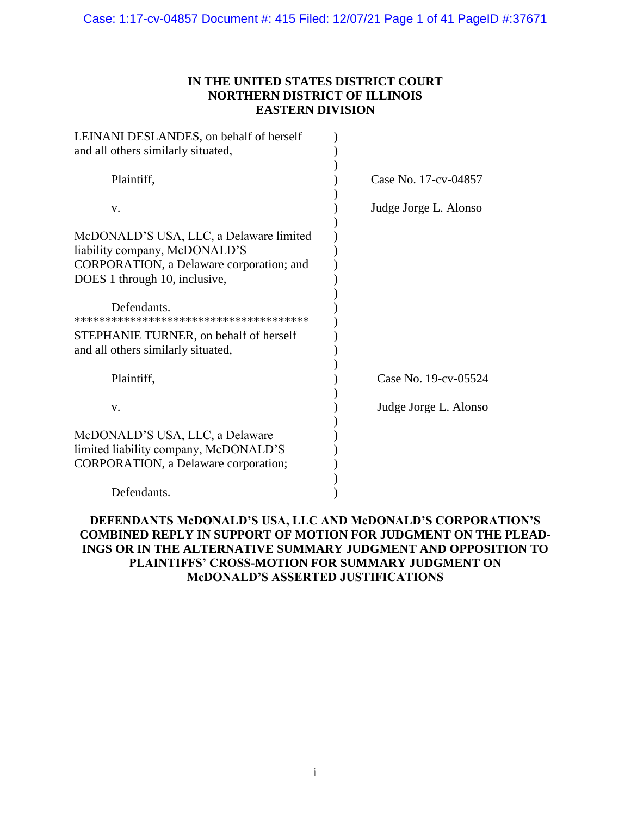## **IN THE UNITED STATES DISTRICT COURT NORTHERN DISTRICT OF ILLINOIS EASTERN DIVISION**

| LEINANI DESLANDES, on behalf of herself<br>and all others similarly situated,                                                                         |                       |
|-------------------------------------------------------------------------------------------------------------------------------------------------------|-----------------------|
| Plaintiff,                                                                                                                                            | Case No. 17-cv-04857  |
| V.                                                                                                                                                    | Judge Jorge L. Alonso |
| McDONALD'S USA, LLC, a Delaware limited<br>liability company, McDONALD'S<br>CORPORATION, a Delaware corporation; and<br>DOES 1 through 10, inclusive, |                       |
| Defendants                                                                                                                                            |                       |
| STEPHANIE TURNER, on behalf of herself<br>and all others similarly situated,                                                                          |                       |
| Plaintiff,                                                                                                                                            | Case No. 19-cv-05524  |
| V.                                                                                                                                                    | Judge Jorge L. Alonso |
| McDONALD'S USA, LLC, a Delaware<br>limited liability company, McDONALD'S<br>CORPORATION, a Delaware corporation;                                      |                       |
| Defendants.                                                                                                                                           |                       |

# **DEFENDANTS McDONALD'S USA, LLC AND McDONALD'S CORPORATION'S COMBINED REPLY IN SUPPORT OF MOTION FOR JUDGMENT ON THE PLEAD-INGS OR IN THE ALTERNATIVE SUMMARY JUDGMENT AND OPPOSITION TO PLAINTIFFS' CROSS-MOTION FOR SUMMARY JUDGMENT ON McDONALD'S ASSERTED JUSTIFICATIONS**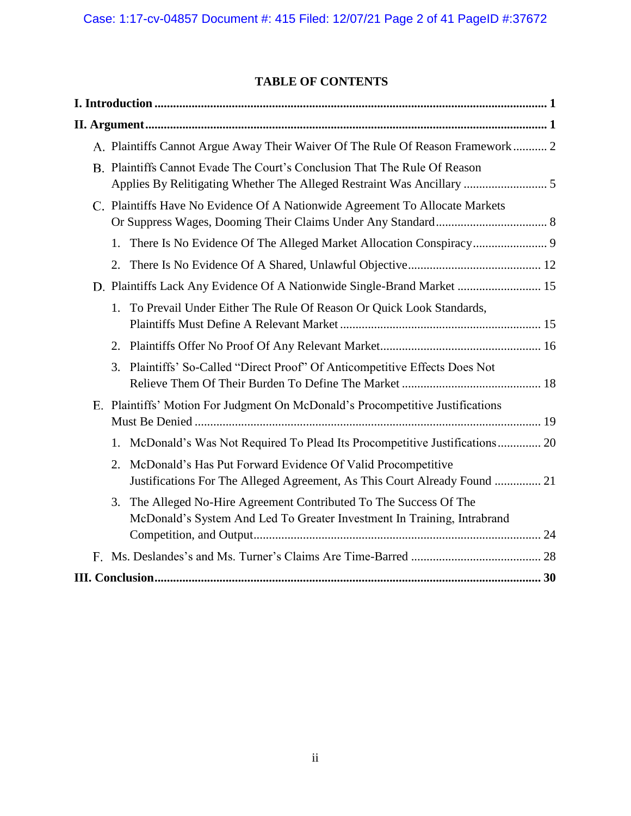# **TABLE OF CONTENTS**

| A. Plaintiffs Cannot Argue Away Their Waiver Of The Rule Of Reason Framework 2                                                                      |
|-----------------------------------------------------------------------------------------------------------------------------------------------------|
| B. Plaintiffs Cannot Evade The Court's Conclusion That The Rule Of Reason<br>Applies By Relitigating Whether The Alleged Restraint Was Ancillary  5 |
| C. Plaintiffs Have No Evidence Of A Nationwide Agreement To Allocate Markets                                                                        |
| 1.                                                                                                                                                  |
| 2.                                                                                                                                                  |
| D. Plaintiffs Lack Any Evidence Of A Nationwide Single-Brand Market  15                                                                             |
| To Prevail Under Either The Rule Of Reason Or Quick Look Standards,<br>1.                                                                           |
|                                                                                                                                                     |
| Plaintiffs' So-Called "Direct Proof" Of Anticompetitive Effects Does Not<br>3.                                                                      |
| E. Plaintiffs' Motion For Judgment On McDonald's Procompetitive Justifications                                                                      |
| McDonald's Was Not Required To Plead Its Procompetitive Justifications 20<br>1.                                                                     |
| McDonald's Has Put Forward Evidence Of Valid Procompetitive<br>2.<br>Justifications For The Alleged Agreement, As This Court Already Found  21      |
| The Alleged No-Hire Agreement Contributed To The Success Of The<br>3.<br>McDonald's System And Led To Greater Investment In Training, Intrabrand    |
|                                                                                                                                                     |
|                                                                                                                                                     |
|                                                                                                                                                     |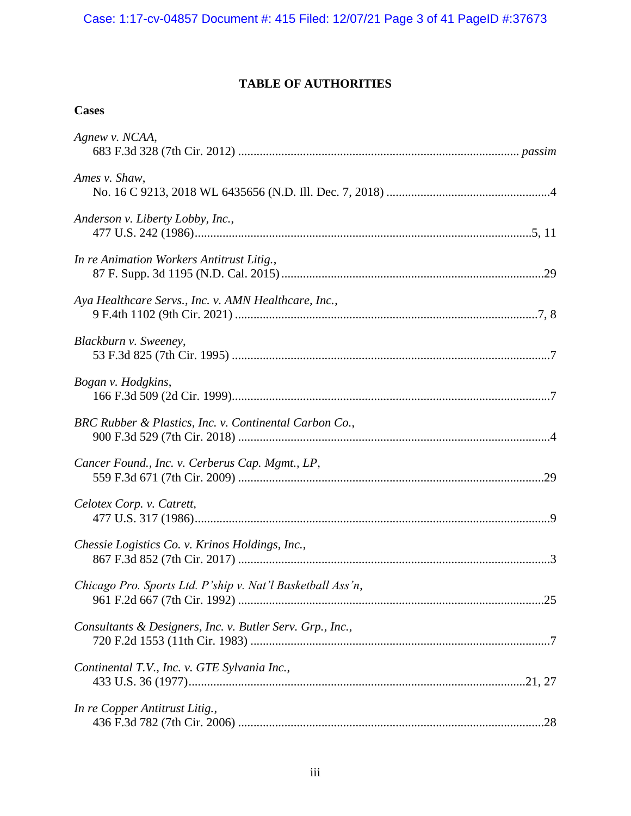# **TABLE OF AUTHORITIES**

# **Cases**

| Agnew v. NCAA,                                             |
|------------------------------------------------------------|
| Ames v. Shaw,                                              |
| Anderson v. Liberty Lobby, Inc.,                           |
| In re Animation Workers Antitrust Litig.,                  |
| Aya Healthcare Servs., Inc. v. AMN Healthcare, Inc.,       |
| Blackburn v. Sweeney,                                      |
| Bogan v. Hodgkins,                                         |
| BRC Rubber & Plastics, Inc. v. Continental Carbon Co.,     |
| Cancer Found., Inc. v. Cerberus Cap. Mgmt., LP,            |
| Celotex Corp. v. Catrett,                                  |
| Chessie Logistics Co. v. Krinos Holdings, Inc.,            |
| Chicago Pro. Sports Ltd. P'ship v. Nat'l Basketball Ass'n, |
| Consultants & Designers, Inc. v. Butler Serv. Grp., Inc.,  |
| Continental T.V., Inc. v. GTE Sylvania Inc.,               |
| In re Copper Antitrust Litig.,                             |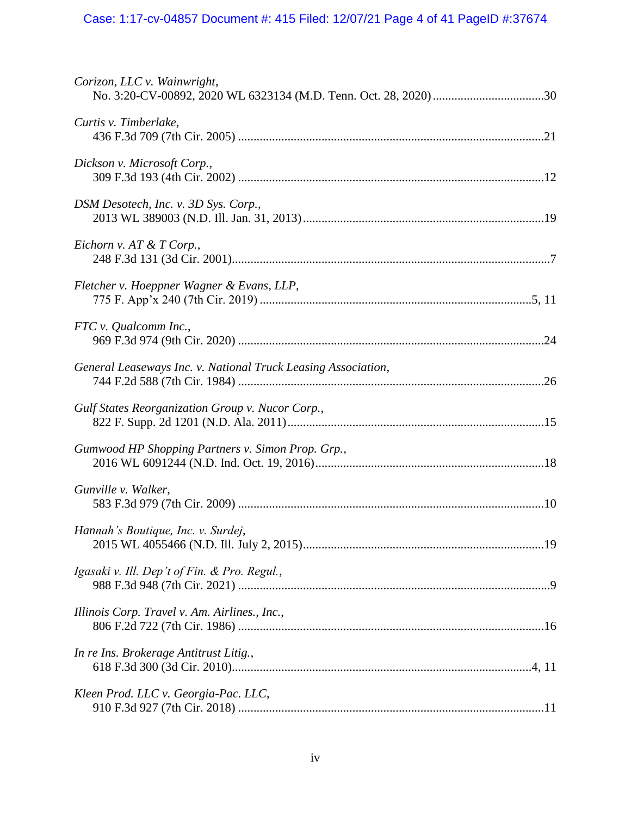# Case: 1:17-cv-04857 Document #: 415 Filed: 12/07/21 Page 4 of 41 PageID #:37674

| Corizon, LLC v. Wainwright,                                   |  |
|---------------------------------------------------------------|--|
| Curtis v. Timberlake,                                         |  |
| Dickson v. Microsoft Corp.,                                   |  |
| DSM Desotech, Inc. v. 3D Sys. Corp.,                          |  |
| Eichorn v. AT & T Corp.,                                      |  |
| Fletcher v. Hoeppner Wagner & Evans, LLP,                     |  |
| FTC v. Qualcomm Inc.,                                         |  |
| General Leaseways Inc. v. National Truck Leasing Association, |  |
| Gulf States Reorganization Group v. Nucor Corp.,              |  |
| Gumwood HP Shopping Partners v. Simon Prop. Grp.,             |  |
| Gunville v. Walker,                                           |  |
| Hannah's Boutique, Inc. v. Surdej,                            |  |
| Igasaki v. Ill. Dep't of Fin. & Pro. Regul.,                  |  |
| Illinois Corp. Travel v. Am. Airlines., Inc.,                 |  |
| In re Ins. Brokerage Antitrust Litig.,                        |  |
| Kleen Prod. LLC v. Georgia-Pac. LLC,                          |  |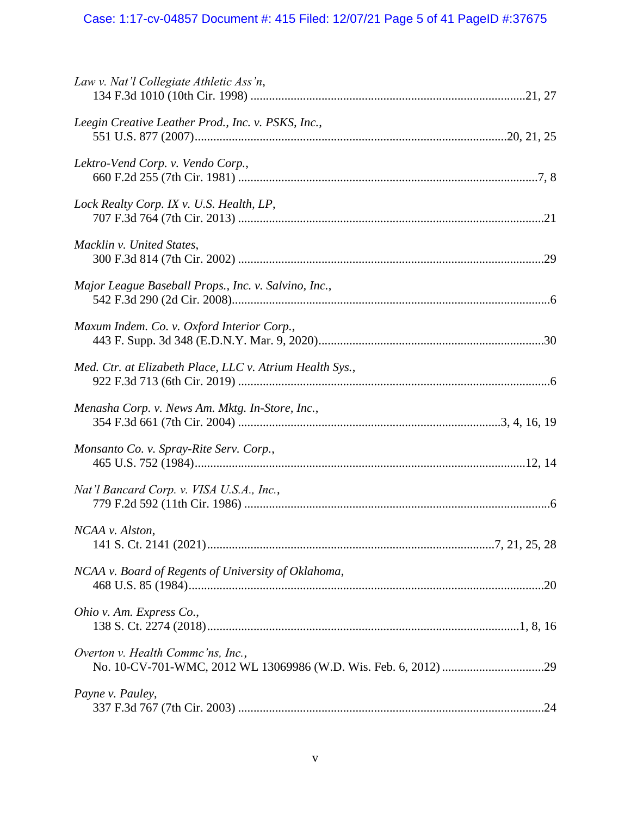# Case: 1:17-cv-04857 Document #: 415 Filed: 12/07/21 Page 5 of 41 PageID #:37675

| Law v. Nat'l Collegiate Athletic Ass'n,                  |  |
|----------------------------------------------------------|--|
| Leegin Creative Leather Prod., Inc. v. PSKS, Inc.,       |  |
| Lektro-Vend Corp. v. Vendo Corp.,                        |  |
| Lock Realty Corp. IX v. U.S. Health, LP,                 |  |
| Macklin v. United States,                                |  |
| Major League Baseball Props., Inc. v. Salvino, Inc.,     |  |
| Maxum Indem. Co. v. Oxford Interior Corp.,               |  |
| Med. Ctr. at Elizabeth Place, LLC v. Atrium Health Sys., |  |
| Menasha Corp. v. News Am. Mktg. In-Store, Inc.,          |  |
| Monsanto Co. v. Spray-Rite Serv. Corp.,                  |  |
| Nat'l Bancard Corp. v. VISA U.S.A., Inc.,                |  |
| NCAA v. Alston,                                          |  |
| NCAA v. Board of Regents of University of Oklahoma,      |  |
| Ohio v. Am. Express Co.,                                 |  |
| Overton v. Health Commc'ns, Inc.,                        |  |
| Payne v. Pauley,                                         |  |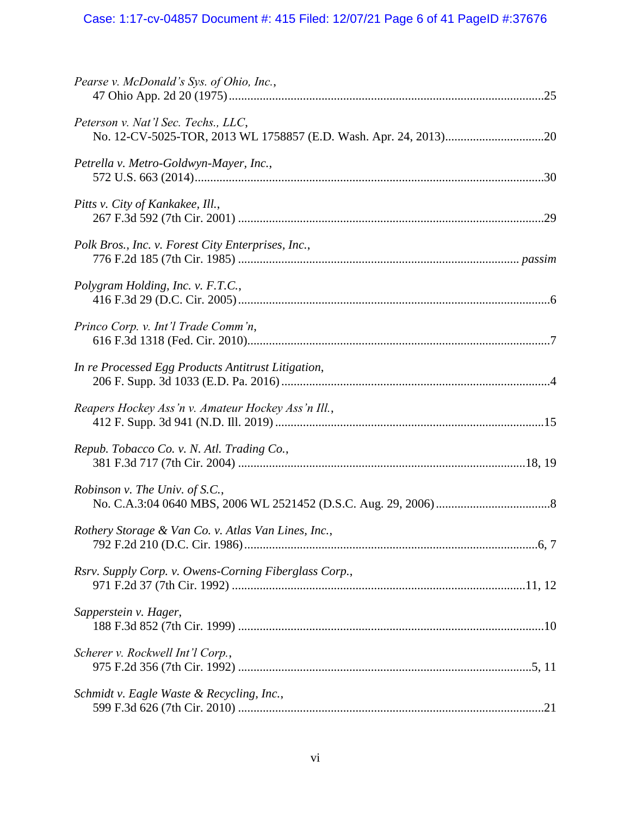# Case: 1:17-cv-04857 Document #: 415 Filed: 12/07/21 Page 6 of 41 PageID #:37676

| Pearse v. McDonald's Sys. of Ohio, Inc.,              |  |
|-------------------------------------------------------|--|
| Peterson v. Nat'l Sec. Techs., LLC,                   |  |
| Petrella v. Metro-Goldwyn-Mayer, Inc.,                |  |
| Pitts v. City of Kankakee, Ill.,                      |  |
| Polk Bros., Inc. v. Forest City Enterprises, Inc.,    |  |
| Polygram Holding, Inc. v. F.T.C.,                     |  |
| Princo Corp. v. Int'l Trade Comm'n,                   |  |
| In re Processed Egg Products Antitrust Litigation,    |  |
| Reapers Hockey Ass'n v. Amateur Hockey Ass'n Ill.,    |  |
| Repub. Tobacco Co. v. N. Atl. Trading Co.,            |  |
| Robinson v. The Univ. of S.C.,                        |  |
| Rothery Storage & Van Co. v. Atlas Van Lines, Inc.,   |  |
| Rsrv. Supply Corp. v. Owens-Corning Fiberglass Corp., |  |
| Sapperstein v. Hager,                                 |  |
| Scherer v. Rockwell Int'l Corp.,                      |  |
| Schmidt v. Eagle Waste & Recycling, Inc.,             |  |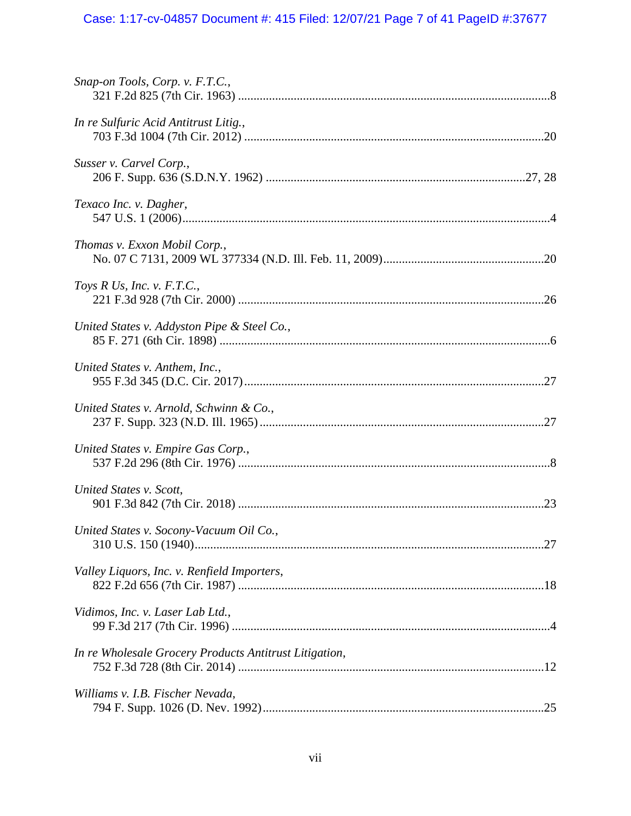# Case: 1:17-cv-04857 Document #: 415 Filed: 12/07/21 Page 7 of 41 PageID #:37677

| Snap-on Tools, Corp. v. F.T.C.,                        |  |
|--------------------------------------------------------|--|
| In re Sulfuric Acid Antitrust Litig.,                  |  |
| Susser v. Carvel Corp.,                                |  |
| Texaco Inc. v. Dagher,                                 |  |
| Thomas v. Exxon Mobil Corp.,                           |  |
| Toys R Us, Inc. v. $F.T.C.,$                           |  |
| United States v. Addyston Pipe & Steel Co.,            |  |
| United States v. Anthem, Inc.,                         |  |
| United States v. Arnold, Schwinn & Co.,                |  |
| United States v. Empire Gas Corp.,                     |  |
| United States v. Scott,                                |  |
| United States v. Socony-Vacuum Oil Co.,                |  |
| Valley Liquors, Inc. v. Renfield Importers,            |  |
| Vidimos, Inc. v. Laser Lab Ltd.,                       |  |
| In re Wholesale Grocery Products Antitrust Litigation, |  |
| Williams v. I.B. Fischer Nevada,                       |  |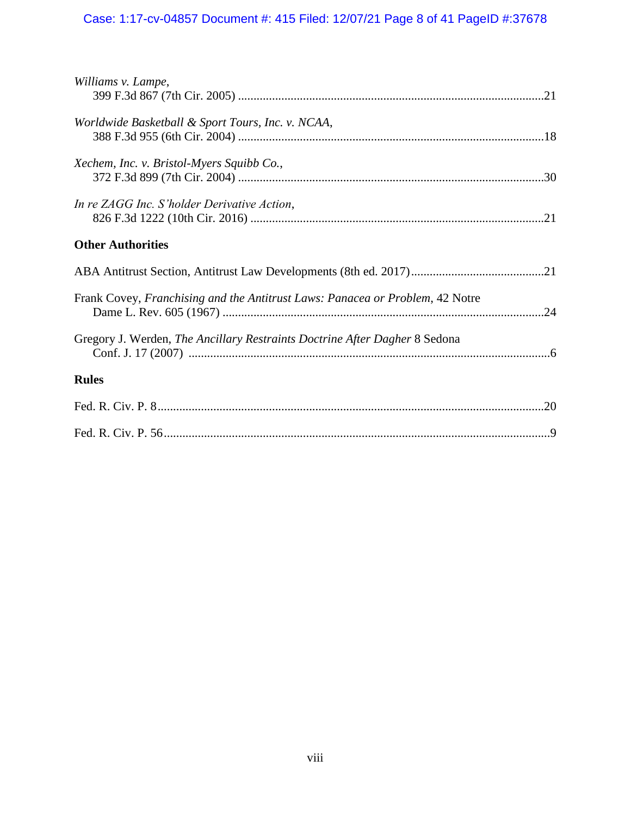# Case: 1:17-cv-04857 Document #: 415 Filed: 12/07/21 Page 8 of 41 PageID #:37678

| Williams v. Lampe,                                                            |  |
|-------------------------------------------------------------------------------|--|
|                                                                               |  |
| Worldwide Basketball & Sport Tours, Inc. v. NCAA,                             |  |
| Xechem, Inc. v. Bristol-Myers Squibb Co.,                                     |  |
|                                                                               |  |
| In re ZAGG Inc. S'holder Derivative Action,                                   |  |
| <b>Other Authorities</b>                                                      |  |
|                                                                               |  |
| Frank Covey, Franchising and the Antitrust Laws: Panacea or Problem, 42 Notre |  |
| Gregory J. Werden, The Ancillary Restraints Doctrine After Dagher 8 Sedona    |  |
| <b>Rules</b>                                                                  |  |
|                                                                               |  |
|                                                                               |  |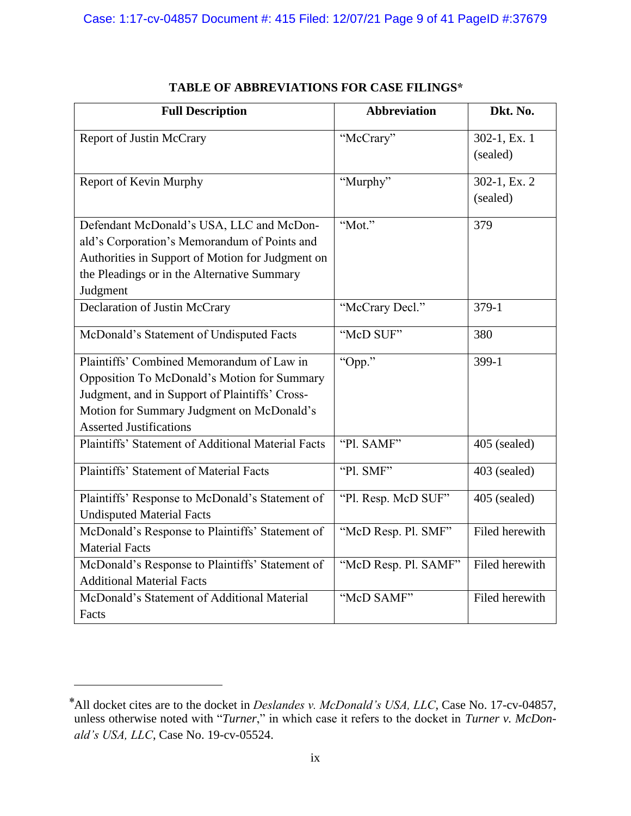| <b>Full Description</b>                                                                                                                                                                                                   | <b>Abbreviation</b>  | Dkt. No.                   |
|---------------------------------------------------------------------------------------------------------------------------------------------------------------------------------------------------------------------------|----------------------|----------------------------|
| <b>Report of Justin McCrary</b>                                                                                                                                                                                           | "McCrary"            | 302-1, Ex. 1<br>(sealed)   |
| Report of Kevin Murphy                                                                                                                                                                                                    | "Murphy"             | 302-1, Ex. $2$<br>(sealed) |
| Defendant McDonald's USA, LLC and McDon-<br>ald's Corporation's Memorandum of Points and<br>Authorities in Support of Motion for Judgment on<br>the Pleadings or in the Alternative Summary<br>Judgment                   | "Mot."               | 379                        |
| Declaration of Justin McCrary                                                                                                                                                                                             | "McCrary Decl."      | 379-1                      |
| McDonald's Statement of Undisputed Facts                                                                                                                                                                                  | "McD SUF"            | 380                        |
| Plaintiffs' Combined Memorandum of Law in<br>Opposition To McDonald's Motion for Summary<br>Judgment, and in Support of Plaintiffs' Cross-<br>Motion for Summary Judgment on McDonald's<br><b>Asserted Justifications</b> | "Opp."               | $399-1$                    |
| Plaintiffs' Statement of Additional Material Facts                                                                                                                                                                        | "Pl. SAMF"           | 405 (sealed)               |
| Plaintiffs' Statement of Material Facts                                                                                                                                                                                   | "Pl. SMF"            | 403 (sealed)               |
| Plaintiffs' Response to McDonald's Statement of<br><b>Undisputed Material Facts</b>                                                                                                                                       | "Pl. Resp. McD SUF"  | 405 (sealed)               |
| McDonald's Response to Plaintiffs' Statement of<br><b>Material Facts</b>                                                                                                                                                  | "McD Resp. Pl. SMF"  | Filed herewith             |
| McDonald's Response to Plaintiffs' Statement of<br><b>Additional Material Facts</b>                                                                                                                                       | "McD Resp. Pl. SAMF" | Filed herewith             |
| McDonald's Statement of Additional Material<br>Facts                                                                                                                                                                      | "McD SAMF"           | Filed herewith             |

# **TABLE OF ABBREVIATIONS FOR CASE FILINGS\***

<sup>\*</sup>All docket cites are to the docket in *Deslandes v. McDonald's USA, LLC*, Case No. 17-cv-04857, unless otherwise noted with "*Turner*," in which case it refers to the docket in *Turner v. McDonald's USA, LLC*, Case No. 19-cv-05524.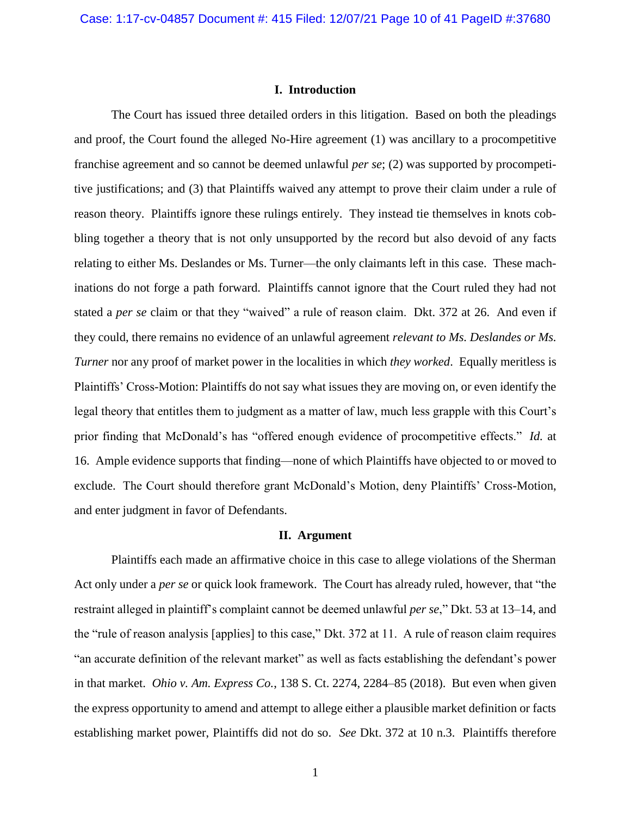### **I. Introduction**

The Court has issued three detailed orders in this litigation. Based on both the pleadings and proof, the Court found the alleged No-Hire agreement (1) was ancillary to a procompetitive franchise agreement and so cannot be deemed unlawful *per se*; (2) was supported by procompetitive justifications; and (3) that Plaintiffs waived any attempt to prove their claim under a rule of reason theory. Plaintiffs ignore these rulings entirely. They instead tie themselves in knots cobbling together a theory that is not only unsupported by the record but also devoid of any facts relating to either Ms. Deslandes or Ms. Turner—the only claimants left in this case. These machinations do not forge a path forward. Plaintiffs cannot ignore that the Court ruled they had not stated a *per se* claim or that they "waived" a rule of reason claim. Dkt. 372 at 26. And even if they could, there remains no evidence of an unlawful agreement *relevant to Ms. Deslandes or Ms. Turner* nor any proof of market power in the localities in which *they worked*. Equally meritless is Plaintiffs' Cross-Motion: Plaintiffs do not say what issues they are moving on, or even identify the legal theory that entitles them to judgment as a matter of law, much less grapple with this Court's prior finding that McDonald's has "offered enough evidence of procompetitive effects." *Id.* at 16. Ample evidence supports that finding—none of which Plaintiffs have objected to or moved to exclude. The Court should therefore grant McDonald's Motion, deny Plaintiffs' Cross-Motion, and enter judgment in favor of Defendants.

#### **II. Argument**

Plaintiffs each made an affirmative choice in this case to allege violations of the Sherman Act only under a *per se* or quick look framework. The Court has already ruled, however, that "the restraint alleged in plaintiff's complaint cannot be deemed unlawful *per se*," Dkt. 53 at 13–14, and the "rule of reason analysis [applies] to this case," Dkt. 372 at 11. A rule of reason claim requires "an accurate definition of the relevant market" as well as facts establishing the defendant's power in that market. *Ohio v. Am. Express Co.*, 138 S. Ct. 2274, 2284–85 (2018). But even when given the express opportunity to amend and attempt to allege either a plausible market definition or facts establishing market power, Plaintiffs did not do so. *See* Dkt. 372 at 10 n.3. Plaintiffs therefore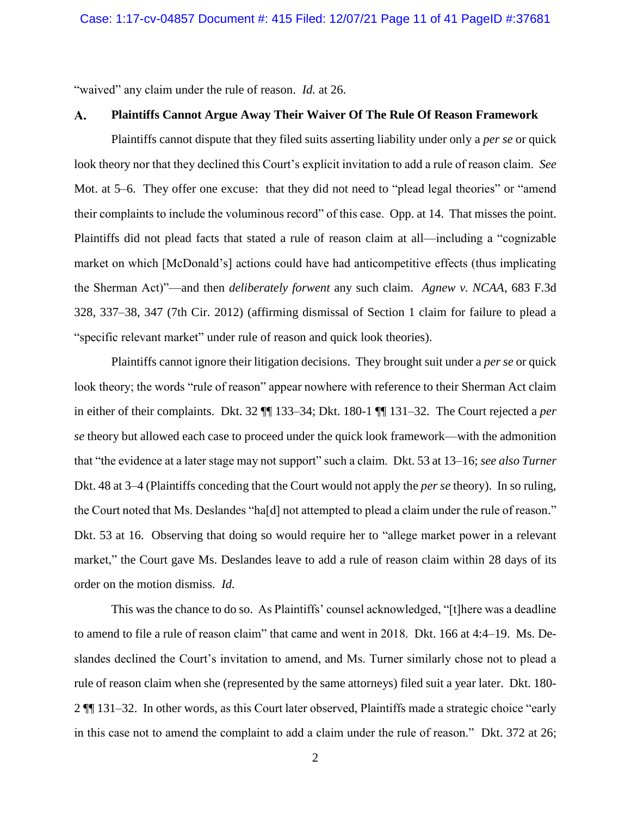"waived" any claim under the rule of reason. *Id.* at 26.

#### A. **Plaintiffs Cannot Argue Away Their Waiver Of The Rule Of Reason Framework**

Plaintiffs cannot dispute that they filed suits asserting liability under only a *per se* or quick look theory nor that they declined this Court's explicit invitation to add a rule of reason claim. *See* Mot. at 5–6. They offer one excuse: that they did not need to "plead legal theories" or "amend their complaints to include the voluminous record" of this case. Opp. at 14. That misses the point. Plaintiffs did not plead facts that stated a rule of reason claim at all—including a "cognizable market on which [McDonald's] actions could have had anticompetitive effects (thus implicating the Sherman Act)"—and then *deliberately forwent* any such claim. *Agnew v. NCAA*, 683 F.3d 328, 337–38, 347 (7th Cir. 2012) (affirming dismissal of Section 1 claim for failure to plead a "specific relevant market" under rule of reason and quick look theories).

Plaintiffs cannot ignore their litigation decisions. They brought suit under a *per se* or quick look theory; the words "rule of reason" appear nowhere with reference to their Sherman Act claim in either of their complaints. Dkt. 32 ¶¶ 133–34; Dkt. 180-1 ¶¶ 131–32. The Court rejected a *per se* theory but allowed each case to proceed under the quick look framework—with the admonition that "the evidence at a later stage may not support" such a claim. Dkt. 53 at 13–16; *see also Turner*  Dkt. 48 at 3–4 (Plaintiffs conceding that the Court would not apply the *per se* theory). In so ruling, the Court noted that Ms. Deslandes "ha[d] not attempted to plead a claim under the rule of reason." Dkt. 53 at 16. Observing that doing so would require her to "allege market power in a relevant market," the Court gave Ms. Deslandes leave to add a rule of reason claim within 28 days of its order on the motion dismiss. *Id.*

This was the chance to do so. As Plaintiffs' counsel acknowledged, "[t]here was a deadline to amend to file a rule of reason claim" that came and went in 2018. Dkt. 166 at 4:4–19. Ms. Deslandes declined the Court's invitation to amend, and Ms. Turner similarly chose not to plead a rule of reason claim when she (represented by the same attorneys) filed suit a year later. Dkt. 180- 2 ¶¶ 131–32. In other words, as this Court later observed, Plaintiffs made a strategic choice "early in this case not to amend the complaint to add a claim under the rule of reason." Dkt. 372 at 26;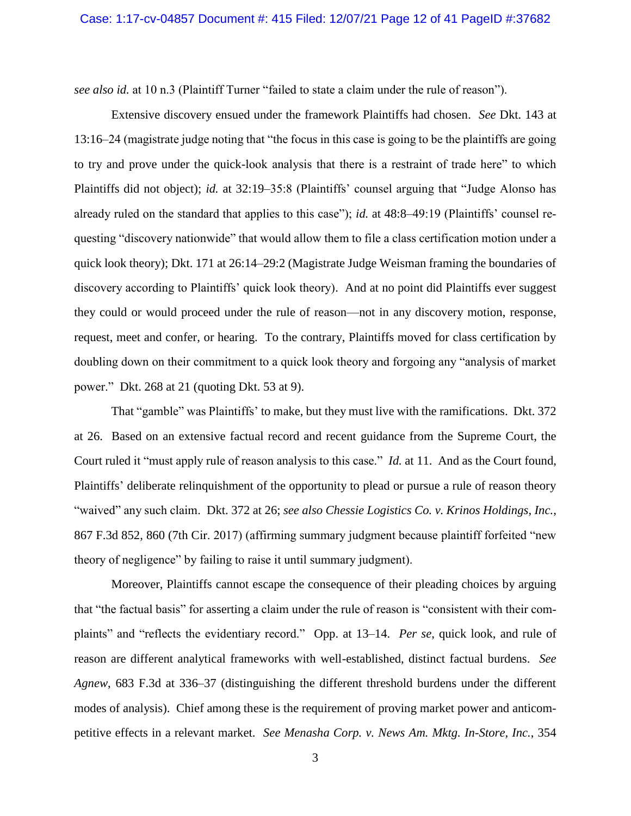*see also id.* at 10 n.3 (Plaintiff Turner "failed to state a claim under the rule of reason").

Extensive discovery ensued under the framework Plaintiffs had chosen. *See* Dkt. 143 at 13:16–24 (magistrate judge noting that "the focus in this case is going to be the plaintiffs are going to try and prove under the quick-look analysis that there is a restraint of trade here" to which Plaintiffs did not object); *id.* at 32:19–35:8 (Plaintiffs' counsel arguing that "Judge Alonso has already ruled on the standard that applies to this case"); *id.* at 48:8–49:19 (Plaintiffs' counsel requesting "discovery nationwide" that would allow them to file a class certification motion under a quick look theory); Dkt. 171 at 26:14–29:2 (Magistrate Judge Weisman framing the boundaries of discovery according to Plaintiffs' quick look theory). And at no point did Plaintiffs ever suggest they could or would proceed under the rule of reason—not in any discovery motion, response, request, meet and confer, or hearing. To the contrary, Plaintiffs moved for class certification by doubling down on their commitment to a quick look theory and forgoing any "analysis of market power." Dkt. 268 at 21 (quoting Dkt. 53 at 9).

That "gamble" was Plaintiffs' to make, but they must live with the ramifications. Dkt. 372 at 26. Based on an extensive factual record and recent guidance from the Supreme Court, the Court ruled it "must apply rule of reason analysis to this case." *Id.* at 11. And as the Court found, Plaintiffs' deliberate relinquishment of the opportunity to plead or pursue a rule of reason theory "waived" any such claim. Dkt. 372 at 26; *see also Chessie Logistics Co. v. Krinos Holdings, Inc.*, 867 F.3d 852, 860 (7th Cir. 2017) (affirming summary judgment because plaintiff forfeited "new theory of negligence" by failing to raise it until summary judgment).

Moreover, Plaintiffs cannot escape the consequence of their pleading choices by arguing that "the factual basis" for asserting a claim under the rule of reason is "consistent with their complaints" and "reflects the evidentiary record." Opp. at 13–14. *Per se*, quick look, and rule of reason are different analytical frameworks with well-established, distinct factual burdens. *See Agnew*, 683 F.3d at 336–37 (distinguishing the different threshold burdens under the different modes of analysis). Chief among these is the requirement of proving market power and anticompetitive effects in a relevant market. *See Menasha Corp. v. News Am. Mktg. In-Store, Inc.*, 354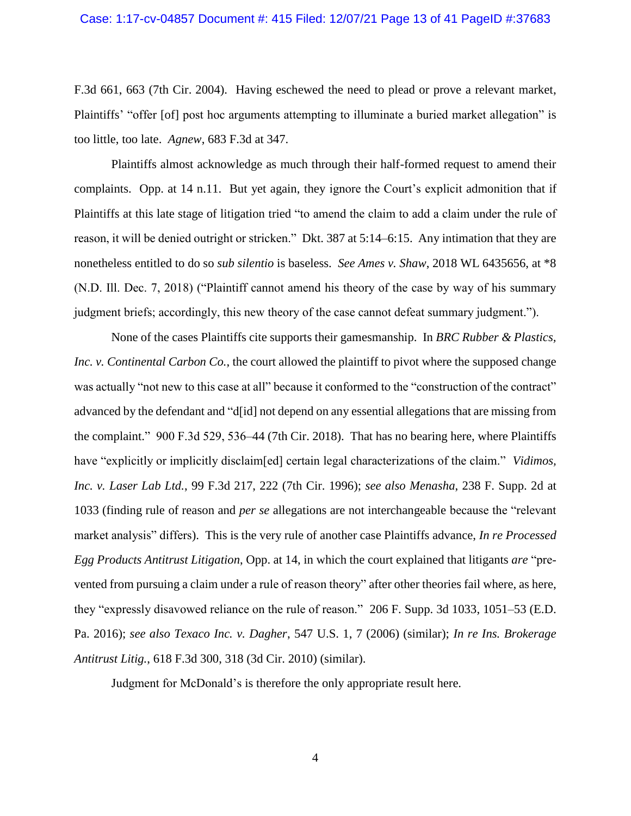### Case: 1:17-cv-04857 Document #: 415 Filed: 12/07/21 Page 13 of 41 PageID #:37683

F.3d 661, 663 (7th Cir. 2004). Having eschewed the need to plead or prove a relevant market, Plaintiffs' "offer [of] post hoc arguments attempting to illuminate a buried market allegation" is too little, too late. *Agnew*, 683 F.3d at 347.

Plaintiffs almost acknowledge as much through their half-formed request to amend their complaints. Opp. at 14 n.11. But yet again, they ignore the Court's explicit admonition that if Plaintiffs at this late stage of litigation tried "to amend the claim to add a claim under the rule of reason, it will be denied outright or stricken." Dkt. 387 at 5:14–6:15. Any intimation that they are nonetheless entitled to do so *sub silentio* is baseless. *See Ames v. Shaw*, 2018 WL 6435656, at \*8 (N.D. Ill. Dec. 7, 2018) ("Plaintiff cannot amend his theory of the case by way of his summary judgment briefs; accordingly, this new theory of the case cannot defeat summary judgment.").

None of the cases Plaintiffs cite supports their gamesmanship. In *BRC Rubber & Plastics, Inc. v. Continental Carbon Co.*, the court allowed the plaintiff to pivot where the supposed change was actually "not new to this case at all" because it conformed to the "construction of the contract" advanced by the defendant and "d[id] not depend on any essential allegations that are missing from the complaint." 900 F.3d 529, 536–44 (7th Cir. 2018). That has no bearing here, where Plaintiffs have "explicitly or implicitly disclaim[ed] certain legal characterizations of the claim." *Vidimos, Inc. v. Laser Lab Ltd.*, 99 F.3d 217, 222 (7th Cir. 1996); *see also Menasha*, 238 F. Supp. 2d at 1033 (finding rule of reason and *per se* allegations are not interchangeable because the "relevant market analysis" differs). This is the very rule of another case Plaintiffs advance, *In re Processed Egg Products Antitrust Litigation*, Opp. at 14, in which the court explained that litigants *are* "prevented from pursuing a claim under a rule of reason theory" after other theories fail where, as here, they "expressly disavowed reliance on the rule of reason." 206 F. Supp. 3d 1033, 1051–53 (E.D. Pa. 2016); *see also Texaco Inc. v. Dagher*, 547 U.S. 1, 7 (2006) (similar); *In re Ins. Brokerage Antitrust Litig.*, 618 F.3d 300, 318 (3d Cir. 2010) (similar).

Judgment for McDonald's is therefore the only appropriate result here.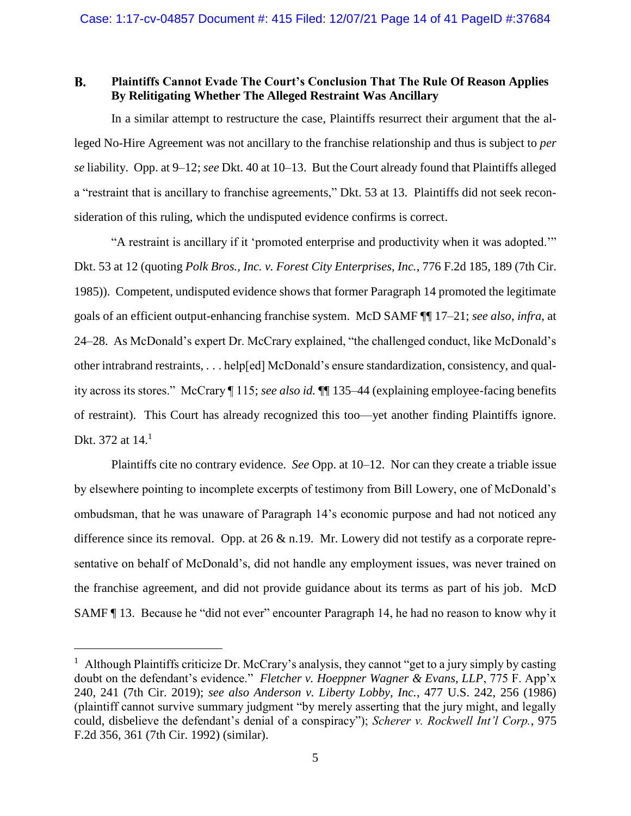#### **B. Plaintiffs Cannot Evade The Court's Conclusion That The Rule Of Reason Applies By Relitigating Whether The Alleged Restraint Was Ancillary**

In a similar attempt to restructure the case, Plaintiffs resurrect their argument that the alleged No-Hire Agreement was not ancillary to the franchise relationship and thus is subject to *per se* liability. Opp. at 9–12; *see* Dkt. 40 at 10–13. But the Court already found that Plaintiffs alleged a "restraint that is ancillary to franchise agreements," Dkt. 53 at 13. Plaintiffs did not seek reconsideration of this ruling, which the undisputed evidence confirms is correct.

"A restraint is ancillary if it 'promoted enterprise and productivity when it was adopted.'" Dkt. 53 at 12 (quoting *Polk Bros., Inc. v. Forest City Enterprises, Inc.*, 776 F.2d 185, 189 (7th Cir. 1985)). Competent, undisputed evidence shows that former Paragraph 14 promoted the legitimate goals of an efficient output-enhancing franchise system. McD SAMF ¶¶ 17–21; *see also*, *infra*, at 24–28. As McDonald's expert Dr. McCrary explained, "the challenged conduct, like McDonald's other intrabrand restraints, . . . help[ed] McDonald's ensure standardization, consistency, and quality across its stores." McCrary ¶ 115; *see also id.* ¶¶ 135–44 (explaining employee-facing benefits of restraint). This Court has already recognized this too—yet another finding Plaintiffs ignore. Dkt. 372 at 14.<sup>1</sup>

Plaintiffs cite no contrary evidence. *See* Opp. at 10–12. Nor can they create a triable issue by elsewhere pointing to incomplete excerpts of testimony from Bill Lowery, one of McDonald's ombudsman, that he was unaware of Paragraph 14's economic purpose and had not noticed any difference since its removal. Opp. at 26  $\&$  n.19. Mr. Lowery did not testify as a corporate representative on behalf of McDonald's, did not handle any employment issues, was never trained on the franchise agreement, and did not provide guidance about its terms as part of his job. McD SAMF ¶ 13. Because he "did not ever" encounter Paragraph 14, he had no reason to know why it

<sup>&</sup>lt;sup>1</sup> Although Plaintiffs criticize Dr. McCrary's analysis, they cannot "get to a jury simply by casting doubt on the defendant's evidence." *Fletcher v. Hoeppner Wagner & Evans, LLP*, 775 F. App'x 240, 241 (7th Cir. 2019); *see also Anderson v. Liberty Lobby, Inc.*, 477 U.S. 242, 256 (1986) (plaintiff cannot survive summary judgment "by merely asserting that the jury might, and legally could, disbelieve the defendant's denial of a conspiracy"); *Scherer v. Rockwell Int'l Corp.*, 975 F.2d 356, 361 (7th Cir. 1992) (similar).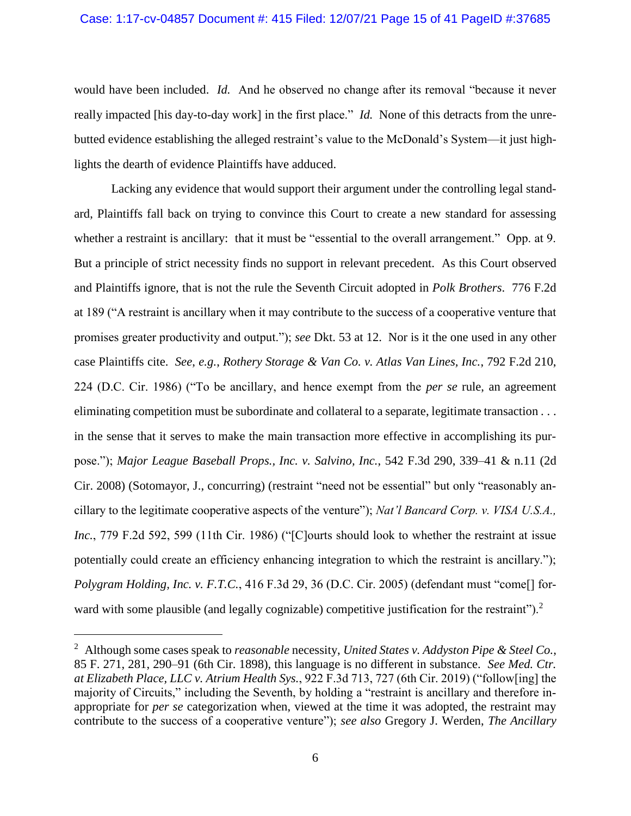would have been included. *Id.* And he observed no change after its removal "because it never really impacted [his day-to-day work] in the first place." *Id.* None of this detracts from the unrebutted evidence establishing the alleged restraint's value to the McDonald's System—it just highlights the dearth of evidence Plaintiffs have adduced.

Lacking any evidence that would support their argument under the controlling legal standard, Plaintiffs fall back on trying to convince this Court to create a new standard for assessing whether a restraint is ancillary: that it must be "essential to the overall arrangement." Opp. at 9. But a principle of strict necessity finds no support in relevant precedent. As this Court observed and Plaintiffs ignore, that is not the rule the Seventh Circuit adopted in *Polk Brothers*. 776 F.2d at 189 ("A restraint is ancillary when it may contribute to the success of a cooperative venture that promises greater productivity and output."); *see* Dkt. 53 at 12. Nor is it the one used in any other case Plaintiffs cite. *See*, *e.g.*, *Rothery Storage & Van Co. v. Atlas Van Lines, Inc.*, 792 F.2d 210, 224 (D.C. Cir. 1986) ("To be ancillary, and hence exempt from the *per se* rule, an agreement eliminating competition must be subordinate and collateral to a separate, legitimate transaction . . . in the sense that it serves to make the main transaction more effective in accomplishing its purpose."); *Major League Baseball Props., Inc. v. Salvino, Inc.*, 542 F.3d 290, 339–41 & n.11 (2d Cir. 2008) (Sotomayor, J., concurring) (restraint "need not be essential" but only "reasonably ancillary to the legitimate cooperative aspects of the venture"); *Nat'l Bancard Corp. v. VISA U.S.A., Inc.*, 779 F.2d 592, 599 (11th Cir. 1986) ("[C]ourts should look to whether the restraint at issue potentially could create an efficiency enhancing integration to which the restraint is ancillary."); *Polygram Holding, Inc. v. F.T.C.*, 416 F.3d 29, 36 (D.C. Cir. 2005) (defendant must "come[] forward with some plausible (and legally cognizable) competitive justification for the restraint").<sup>2</sup>

<sup>2</sup> Although some cases speak to *reasonable* necessity, *United States v. Addyston Pipe & Steel Co.*, 85 F. 271, 281, 290–91 (6th Cir. 1898), this language is no different in substance. *See Med. Ctr. at Elizabeth Place, LLC v. Atrium Health Sys.*, 922 F.3d 713, 727 (6th Cir. 2019) ("follow[ing] the majority of Circuits," including the Seventh, by holding a "restraint is ancillary and therefore inappropriate for *per se* categorization when, viewed at the time it was adopted, the restraint may contribute to the success of a cooperative venture"); *see also* Gregory J. Werden, *The Ancillary*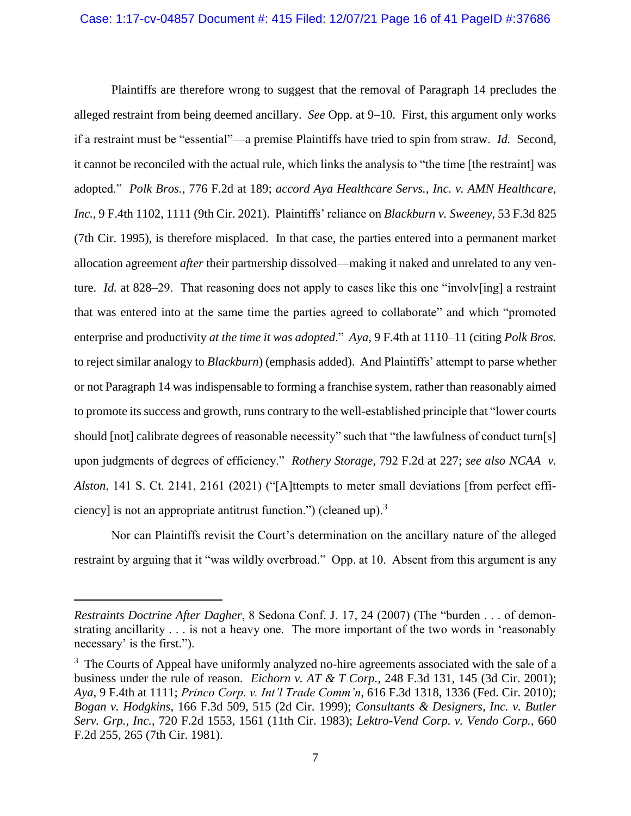Plaintiffs are therefore wrong to suggest that the removal of Paragraph 14 precludes the alleged restraint from being deemed ancillary. *See* Opp. at 9–10. First, this argument only works if a restraint must be "essential"—a premise Plaintiffs have tried to spin from straw. *Id.* Second, it cannot be reconciled with the actual rule, which links the analysis to "the time [the restraint] was adopted." *Polk Bros.*, 776 F.2d at 189; *accord Aya Healthcare Servs., Inc. v. AMN Healthcare, Inc.*, 9 F.4th 1102, 1111 (9th Cir. 2021). Plaintiffs' reliance on *Blackburn v. Sweeney*, 53 F.3d 825 (7th Cir. 1995), is therefore misplaced. In that case, the parties entered into a permanent market allocation agreement *after* their partnership dissolved—making it naked and unrelated to any venture. *Id.* at 828–29. That reasoning does not apply to cases like this one "involv[ing] a restraint that was entered into at the same time the parties agreed to collaborate" and which "promoted enterprise and productivity *at the time it was adopted*." *Aya*, 9 F.4th at 1110–11 (citing *Polk Bros.* to reject similar analogy to *Blackburn*) (emphasis added). And Plaintiffs' attempt to parse whether or not Paragraph 14 was indispensable to forming a franchise system, rather than reasonably aimed to promote its success and growth, runs contrary to the well-established principle that "lower courts should [not] calibrate degrees of reasonable necessity" such that "the lawfulness of conduct turn[s] upon judgments of degrees of efficiency." *Rothery Storage*, 792 F.2d at 227; *see also NCAA v. Alston*, 141 S. Ct. 2141, 2161 (2021) ("[A]ttempts to meter small deviations [from perfect efficiency] is not an appropriate antitrust function.") (cleaned up).<sup>3</sup>

Nor can Plaintiffs revisit the Court's determination on the ancillary nature of the alleged restraint by arguing that it "was wildly overbroad." Opp. at 10. Absent from this argument is any

*Restraints Doctrine After Dagher*, 8 Sedona Conf. J. 17, 24 (2007) (The "burden . . . of demonstrating ancillarity . . . is not a heavy one. The more important of the two words in 'reasonably necessary' is the first.").

<sup>&</sup>lt;sup>3</sup> The Courts of Appeal have uniformly analyzed no-hire agreements associated with the sale of a business under the rule of reason. *Eichorn v. AT & T Corp.*, 248 F.3d 131, 145 (3d Cir. 2001); *Aya*, 9 F.4th at 1111; *Princo Corp. v. Int'l Trade Comm'n*, 616 F.3d 1318, 1336 (Fed. Cir. 2010); *Bogan v. Hodgkins*, 166 F.3d 509, 515 (2d Cir. 1999); *Consultants & Designers, Inc. v. Butler Serv. Grp., Inc.*, 720 F.2d 1553, 1561 (11th Cir. 1983); *Lektro-Vend Corp. v. Vendo Corp.*, 660 F.2d 255, 265 (7th Cir. 1981).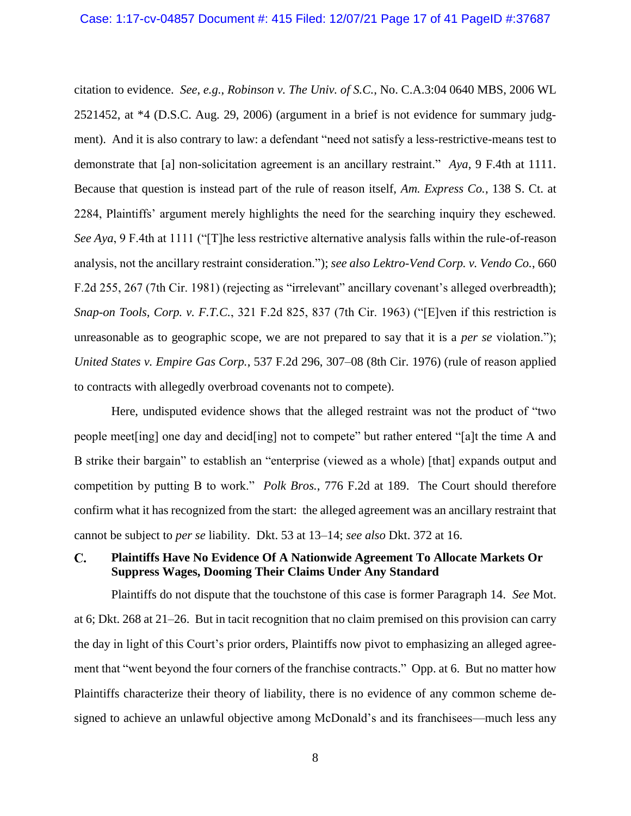citation to evidence. *See*, *e.g.*, *Robinson v. The Univ. of S.C.*, No. C.A.3:04 0640 MBS, 2006 WL 2521452, at \*4 (D.S.C. Aug. 29, 2006) (argument in a brief is not evidence for summary judgment). And it is also contrary to law: a defendant "need not satisfy a less-restrictive-means test to demonstrate that [a] non-solicitation agreement is an ancillary restraint." *Aya*, 9 F.4th at 1111. Because that question is instead part of the rule of reason itself, *Am. Express Co.*, 138 S. Ct. at 2284, Plaintiffs' argument merely highlights the need for the searching inquiry they eschewed. *See Aya*, 9 F.4th at 1111 ("The less restrictive alternative analysis falls within the rule-of-reason analysis, not the ancillary restraint consideration."); *see also Lektro-Vend Corp. v. Vendo Co.*, 660 F.2d 255, 267 (7th Cir. 1981) (rejecting as "irrelevant" ancillary covenant's alleged overbreadth); *Snap-on Tools, Corp. v. F.T.C.*, 321 F.2d 825, 837 (7th Cir. 1963) ("[E]ven if this restriction is unreasonable as to geographic scope, we are not prepared to say that it is a *per se* violation."); *United States v. Empire Gas Corp.*, 537 F.2d 296, 307–08 (8th Cir. 1976) (rule of reason applied to contracts with allegedly overbroad covenants not to compete).

Here, undisputed evidence shows that the alleged restraint was not the product of "two people meet[ing] one day and decid[ing] not to compete" but rather entered "[a]t the time A and B strike their bargain" to establish an "enterprise (viewed as a whole) [that] expands output and competition by putting B to work." *Polk Bros.*, 776 F.2d at 189. The Court should therefore confirm what it has recognized from the start: the alleged agreement was an ancillary restraint that cannot be subject to *per se* liability. Dkt. 53 at 13–14; *see also* Dkt. 372 at 16.

#### **Plaintiffs Have No Evidence Of A Nationwide Agreement To Allocate Markets Or**   $\mathbf{C}$ . **Suppress Wages, Dooming Their Claims Under Any Standard**

Plaintiffs do not dispute that the touchstone of this case is former Paragraph 14. *See* Mot. at 6; Dkt. 268 at 21–26. But in tacit recognition that no claim premised on this provision can carry the day in light of this Court's prior orders, Plaintiffs now pivot to emphasizing an alleged agreement that "went beyond the four corners of the franchise contracts." Opp. at 6. But no matter how Plaintiffs characterize their theory of liability, there is no evidence of any common scheme designed to achieve an unlawful objective among McDonald's and its franchisees—much less any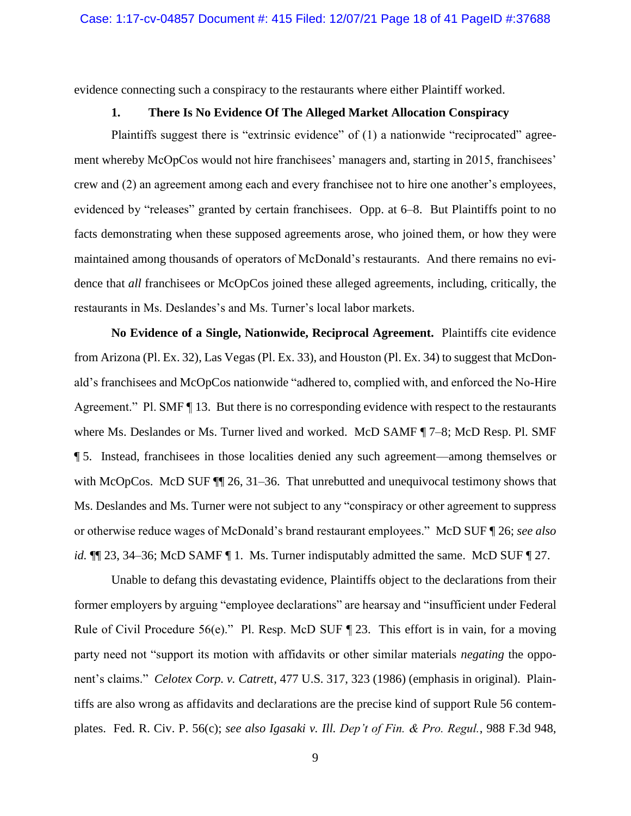evidence connecting such a conspiracy to the restaurants where either Plaintiff worked.

### **1. There Is No Evidence Of The Alleged Market Allocation Conspiracy**

Plaintiffs suggest there is "extrinsic evidence" of (1) a nationwide "reciprocated" agreement whereby McOpCos would not hire franchisees' managers and, starting in 2015, franchisees' crew and (2) an agreement among each and every franchisee not to hire one another's employees, evidenced by "releases" granted by certain franchisees. Opp. at 6–8. But Plaintiffs point to no facts demonstrating when these supposed agreements arose, who joined them, or how they were maintained among thousands of operators of McDonald's restaurants. And there remains no evidence that *all* franchisees or McOpCos joined these alleged agreements, including, critically, the restaurants in Ms. Deslandes's and Ms. Turner's local labor markets.

**No Evidence of a Single, Nationwide, Reciprocal Agreement.** Plaintiffs cite evidence from Arizona (Pl. Ex. 32), Las Vegas (Pl. Ex. 33), and Houston (Pl. Ex. 34) to suggest that McDonald's franchisees and McOpCos nationwide "adhered to, complied with, and enforced the No-Hire Agreement." Pl. SMF  $\P$  13. But there is no corresponding evidence with respect to the restaurants where Ms. Deslandes or Ms. Turner lived and worked. McD SAMF ¶ 7–8; McD Resp. Pl. SMF ¶ 5. Instead, franchisees in those localities denied any such agreement—among themselves or with McOpCos. McD SUF  $\P$  26, 31–36. That unrebutted and unequivocal testimony shows that Ms. Deslandes and Ms. Turner were not subject to any "conspiracy or other agreement to suppress or otherwise reduce wages of McDonald's brand restaurant employees." McD SUF ¶ 26; *see also id.*  $\P$ [23, 34–36; McD SAMF [1. Ms. Turner indisputably admitted the same. McD SUF [27.

Unable to defang this devastating evidence, Plaintiffs object to the declarations from their former employers by arguing "employee declarations" are hearsay and "insufficient under Federal Rule of Civil Procedure 56(e)." Pl. Resp. McD SUF  $\P$  23. This effort is in vain, for a moving party need not "support its motion with affidavits or other similar materials *negating* the opponent's claims." *Celotex Corp. v. Catrett*, 477 U.S. 317, 323 (1986) (emphasis in original). Plaintiffs are also wrong as affidavits and declarations are the precise kind of support Rule 56 contemplates. Fed. R. Civ. P. 56(c); *see also Igasaki v. Ill. Dep't of Fin. & Pro. Regul.*, 988 F.3d 948,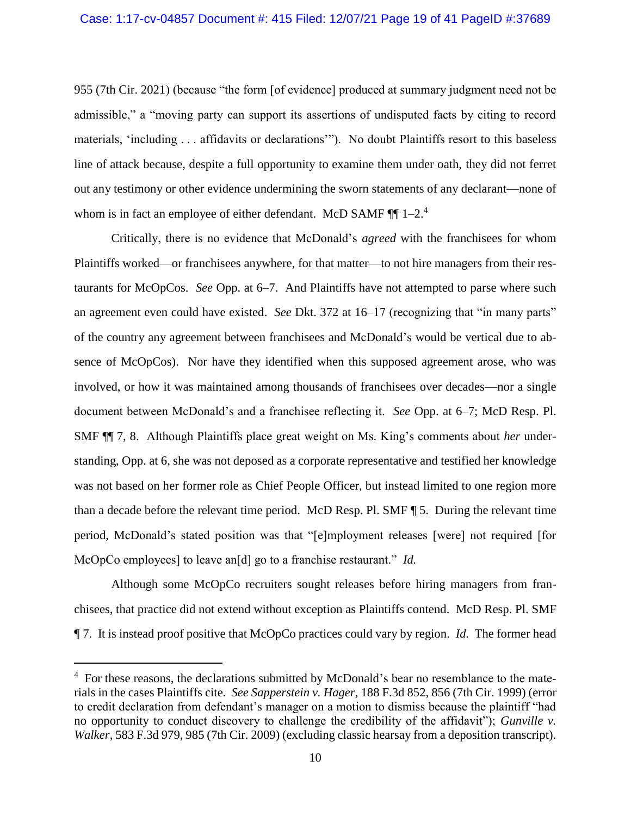955 (7th Cir. 2021) (because "the form [of evidence] produced at summary judgment need not be admissible," a "moving party can support its assertions of undisputed facts by citing to record materials, 'including . . . affidavits or declarations'"). No doubt Plaintiffs resort to this baseless line of attack because, despite a full opportunity to examine them under oath, they did not ferret out any testimony or other evidence undermining the sworn statements of any declarant—none of whom is in fact an employee of either defendant. McD SAMF  $\P\P$  1-2.<sup>4</sup>

Critically, there is no evidence that McDonald's *agreed* with the franchisees for whom Plaintiffs worked—or franchisees anywhere, for that matter—to not hire managers from their restaurants for McOpCos. *See* Opp. at 6–7. And Plaintiffs have not attempted to parse where such an agreement even could have existed. *See* Dkt. 372 at 16–17 (recognizing that "in many parts" of the country any agreement between franchisees and McDonald's would be vertical due to absence of McOpCos). Nor have they identified when this supposed agreement arose, who was involved, or how it was maintained among thousands of franchisees over decades—nor a single document between McDonald's and a franchisee reflecting it. *See* Opp. at 6–7; McD Resp. Pl. SMF ¶¶ 7, 8. Although Plaintiffs place great weight on Ms. King's comments about *her* understanding, Opp. at 6, she was not deposed as a corporate representative and testified her knowledge was not based on her former role as Chief People Officer, but instead limited to one region more than a decade before the relevant time period. McD Resp. Pl. SMF ¶ 5. During the relevant time period, McDonald's stated position was that "[e]mployment releases [were] not required [for McOpCo employees] to leave an[d] go to a franchise restaurant." *Id.*

Although some McOpCo recruiters sought releases before hiring managers from franchisees, that practice did not extend without exception as Plaintiffs contend. McD Resp. Pl. SMF ¶ 7. It is instead proof positive that McOpCo practices could vary by region. *Id.* The former head

<sup>&</sup>lt;sup>4</sup> For these reasons, the declarations submitted by McDonald's bear no resemblance to the materials in the cases Plaintiffs cite. *See Sapperstein v. Hager*, 188 F.3d 852, 856 (7th Cir. 1999) (error to credit declaration from defendant's manager on a motion to dismiss because the plaintiff "had no opportunity to conduct discovery to challenge the credibility of the affidavit"); *Gunville v. Walker*, 583 F.3d 979, 985 (7th Cir. 2009) (excluding classic hearsay from a deposition transcript).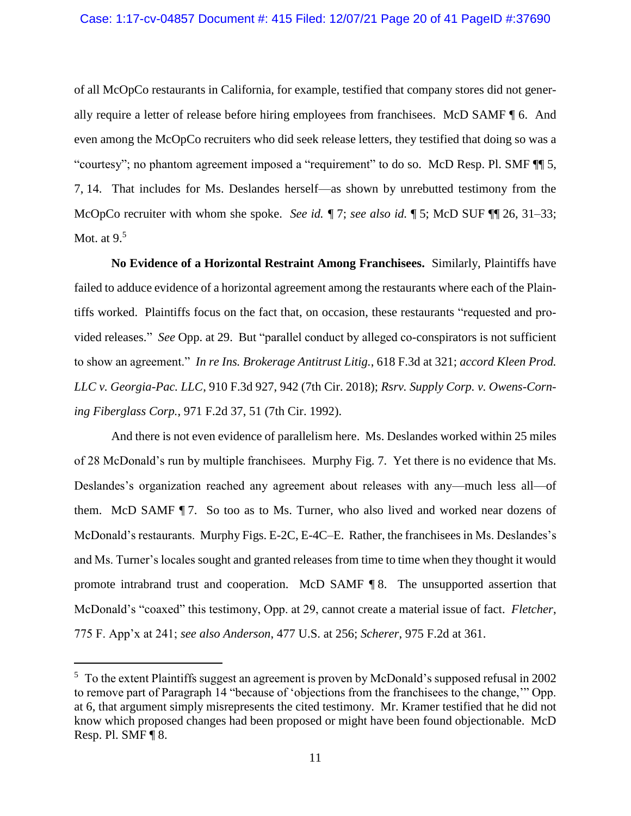of all McOpCo restaurants in California, for example, testified that company stores did not generally require a letter of release before hiring employees from franchisees. McD SAMF ¶ 6. And even among the McOpCo recruiters who did seek release letters, they testified that doing so was a "courtesy"; no phantom agreement imposed a "requirement" to do so. McD Resp. Pl. SMF  $\P$  5, 7, 14. That includes for Ms. Deslandes herself—as shown by unrebutted testimony from the McOpCo recruiter with whom she spoke. *See id. ¶* 7; *see also id.* ¶ 5; McD SUF ¶¶ 26, 31–33; Mot. at  $9<sup>5</sup>$ 

**No Evidence of a Horizontal Restraint Among Franchisees.** Similarly, Plaintiffs have failed to adduce evidence of a horizontal agreement among the restaurants where each of the Plaintiffs worked. Plaintiffs focus on the fact that, on occasion, these restaurants "requested and provided releases." *See* Opp. at 29. But "parallel conduct by alleged co-conspirators is not sufficient to show an agreement." *In re Ins. Brokerage Antitrust Litig.*, 618 F.3d at 321; *accord Kleen Prod. LLC v. Georgia-Pac. LLC*, 910 F.3d 927, 942 (7th Cir. 2018); *Rsrv. Supply Corp. v. Owens-Corning Fiberglass Corp.*, 971 F.2d 37, 51 (7th Cir. 1992).

And there is not even evidence of parallelism here. Ms. Deslandes worked within 25 miles of 28 McDonald's run by multiple franchisees. Murphy Fig. 7. Yet there is no evidence that Ms. Deslandes's organization reached any agreement about releases with any—much less all—of them. McD SAMF ¶ 7. So too as to Ms. Turner, who also lived and worked near dozens of McDonald's restaurants. Murphy Figs. E-2C, E-4C–E. Rather, the franchisees in Ms. Deslandes's and Ms. Turner's locales sought and granted releases from time to time when they thought it would promote intrabrand trust and cooperation. McD SAMF ¶ 8. The unsupported assertion that McDonald's "coaxed" this testimony, Opp. at 29, cannot create a material issue of fact. *Fletcher*, 775 F. App'x at 241; *see also Anderson*, 477 U.S. at 256; *Scherer*, 975 F.2d at 361.

<sup>&</sup>lt;sup>5</sup> To the extent Plaintiffs suggest an agreement is proven by McDonald's supposed refusal in 2002 to remove part of Paragraph 14 "because of 'objections from the franchisees to the change,'" Opp. at 6, that argument simply misrepresents the cited testimony. Mr. Kramer testified that he did not know which proposed changes had been proposed or might have been found objectionable. McD Resp. Pl. SMF ¶ 8.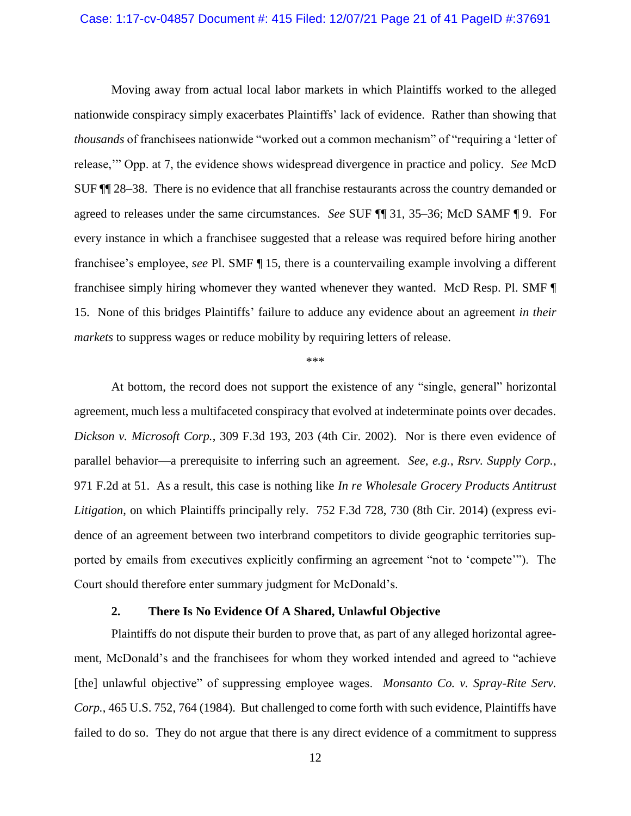Moving away from actual local labor markets in which Plaintiffs worked to the alleged nationwide conspiracy simply exacerbates Plaintiffs' lack of evidence. Rather than showing that *thousands* of franchisees nationwide "worked out a common mechanism" of "requiring a 'letter of release,'" Opp. at 7, the evidence shows widespread divergence in practice and policy. *See* McD SUF ¶¶ 28–38. There is no evidence that all franchise restaurants across the country demanded or agreed to releases under the same circumstances. *See* SUF ¶¶ 31, 35–36; McD SAMF ¶ 9. For every instance in which a franchisee suggested that a release was required before hiring another franchisee's employee, *see* Pl. SMF ¶ 15, there is a countervailing example involving a different franchisee simply hiring whomever they wanted whenever they wanted. McD Resp. Pl. SMF ¶ 15. None of this bridges Plaintiffs' failure to adduce any evidence about an agreement *in their markets* to suppress wages or reduce mobility by requiring letters of release.

\*\*\*

At bottom, the record does not support the existence of any "single, general" horizontal agreement, much less a multifaceted conspiracy that evolved at indeterminate points over decades. *Dickson v. Microsoft Corp.*, 309 F.3d 193, 203 (4th Cir. 2002). Nor is there even evidence of parallel behavior—a prerequisite to inferring such an agreement. *See*, *e.g.*, *Rsrv. Supply Corp.*, 971 F.2d at 51. As a result, this case is nothing like *In re Wholesale Grocery Products Antitrust Litigation*, on which Plaintiffs principally rely. 752 F.3d 728, 730 (8th Cir. 2014) (express evidence of an agreement between two interbrand competitors to divide geographic territories supported by emails from executives explicitly confirming an agreement "not to 'compete'"). The Court should therefore enter summary judgment for McDonald's.

### **2. There Is No Evidence Of A Shared, Unlawful Objective**

Plaintiffs do not dispute their burden to prove that, as part of any alleged horizontal agreement, McDonald's and the franchisees for whom they worked intended and agreed to "achieve [the] unlawful objective" of suppressing employee wages. *Monsanto Co. v. Spray-Rite Serv. Corp.*, 465 U.S. 752, 764 (1984). But challenged to come forth with such evidence, Plaintiffs have failed to do so. They do not argue that there is any direct evidence of a commitment to suppress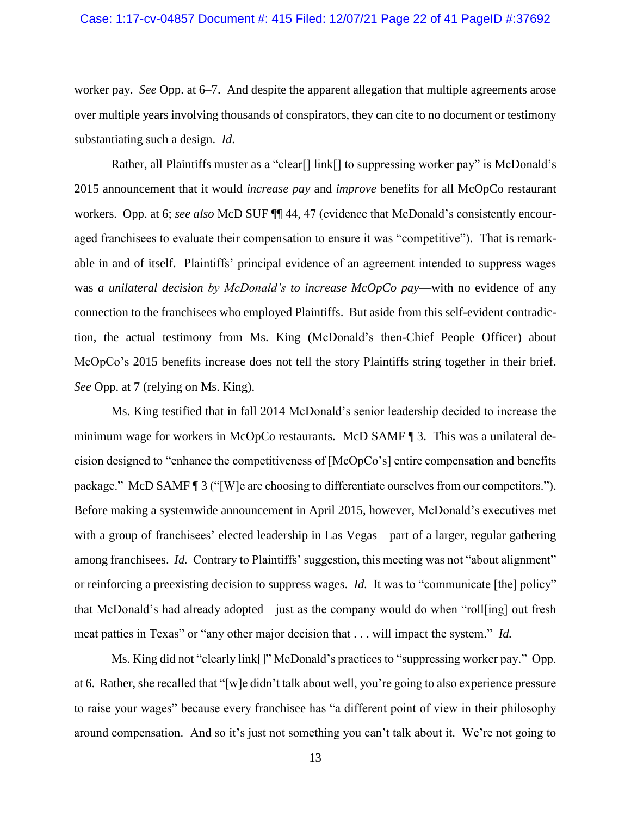worker pay. *See* Opp. at 6–7. And despite the apparent allegation that multiple agreements arose over multiple years involving thousands of conspirators, they can cite to no document or testimony substantiating such a design. *Id*.

Rather, all Plaintiffs muster as a "clear<sup>[]</sup> link<sup>[]</sup> to suppressing worker pay" is McDonald's 2015 announcement that it would *increase pay* and *improve* benefits for all McOpCo restaurant workers. Opp. at 6; *see also* McD SUF ¶¶ 44, 47 (evidence that McDonald's consistently encouraged franchisees to evaluate their compensation to ensure it was "competitive"). That is remarkable in and of itself. Plaintiffs' principal evidence of an agreement intended to suppress wages was *a unilateral decision by McDonald's to increase McOpCo pay*—with no evidence of any connection to the franchisees who employed Plaintiffs. But aside from this self-evident contradiction, the actual testimony from Ms. King (McDonald's then-Chief People Officer) about McOpCo's 2015 benefits increase does not tell the story Plaintiffs string together in their brief. *See* Opp. at 7 (relying on Ms. King).

Ms. King testified that in fall 2014 McDonald's senior leadership decided to increase the minimum wage for workers in McOpCo restaurants. McD SAMF ¶ 3. This was a unilateral decision designed to "enhance the competitiveness of [McOpCo's] entire compensation and benefits package." McD SAMF ¶ 3 ("[W]e are choosing to differentiate ourselves from our competitors."). Before making a systemwide announcement in April 2015, however, McDonald's executives met with a group of franchisees' elected leadership in Las Vegas—part of a larger, regular gathering among franchisees. *Id.* Contrary to Plaintiffs' suggestion, this meeting was not "about alignment" or reinforcing a preexisting decision to suppress wages. *Id.* It was to "communicate [the] policy" that McDonald's had already adopted—just as the company would do when "roll[ing] out fresh meat patties in Texas" or "any other major decision that . . . will impact the system." *Id.*

Ms. King did not "clearly link[]" McDonald's practices to "suppressing worker pay." Opp. at 6. Rather, she recalled that "[w]e didn't talk about well, you're going to also experience pressure to raise your wages" because every franchisee has "a different point of view in their philosophy around compensation. And so it's just not something you can't talk about it. We're not going to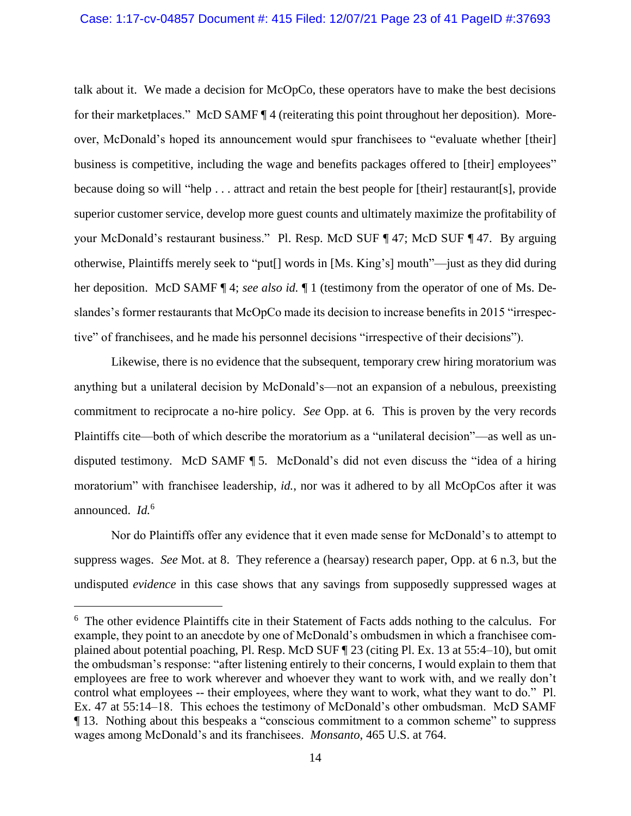talk about it. We made a decision for McOpCo, these operators have to make the best decisions for their marketplaces." McD SAMF ¶ 4 (reiterating this point throughout her deposition). Moreover, McDonald's hoped its announcement would spur franchisees to "evaluate whether [their] business is competitive, including the wage and benefits packages offered to [their] employees" because doing so will "help . . . attract and retain the best people for [their] restaurant[s], provide superior customer service, develop more guest counts and ultimately maximize the profitability of your McDonald's restaurant business." Pl. Resp. McD SUF ¶ 47; McD SUF ¶ 47. By arguing otherwise, Plaintiffs merely seek to "put[] words in [Ms. King's] mouth"—just as they did during her deposition. McD SAMF ¶ 4; *see also id.* ¶ 1 (testimony from the operator of one of Ms. Deslandes's former restaurants that McOpCo made its decision to increase benefits in 2015 "irrespective" of franchisees, and he made his personnel decisions "irrespective of their decisions").

Likewise, there is no evidence that the subsequent, temporary crew hiring moratorium was anything but a unilateral decision by McDonald's—not an expansion of a nebulous, preexisting commitment to reciprocate a no-hire policy. *See* Opp. at 6. This is proven by the very records Plaintiffs cite—both of which describe the moratorium as a "unilateral decision"—as well as undisputed testimony. McD SAMF ¶ 5. McDonald's did not even discuss the "idea of a hiring moratorium" with franchisee leadership, *id.*, nor was it adhered to by all McOpCos after it was announced. *Id.*<sup>6</sup>

Nor do Plaintiffs offer any evidence that it even made sense for McDonald's to attempt to suppress wages. *See* Mot. at 8. They reference a (hearsay) research paper, Opp. at 6 n.3, but the undisputed *evidence* in this case shows that any savings from supposedly suppressed wages at

<sup>&</sup>lt;sup>6</sup> The other evidence Plaintiffs cite in their Statement of Facts adds nothing to the calculus. For example, they point to an anecdote by one of McDonald's ombudsmen in which a franchisee complained about potential poaching, Pl. Resp. McD SUF ¶ 23 (citing Pl. Ex. 13 at 55:4–10), but omit the ombudsman's response: "after listening entirely to their concerns, I would explain to them that employees are free to work wherever and whoever they want to work with, and we really don't control what employees -- their employees, where they want to work, what they want to do." Pl. Ex. 47 at 55:14–18. This echoes the testimony of McDonald's other ombudsman. McD SAMF ¶ 13. Nothing about this bespeaks a "conscious commitment to a common scheme" to suppress wages among McDonald's and its franchisees. *Monsanto*, 465 U.S. at 764.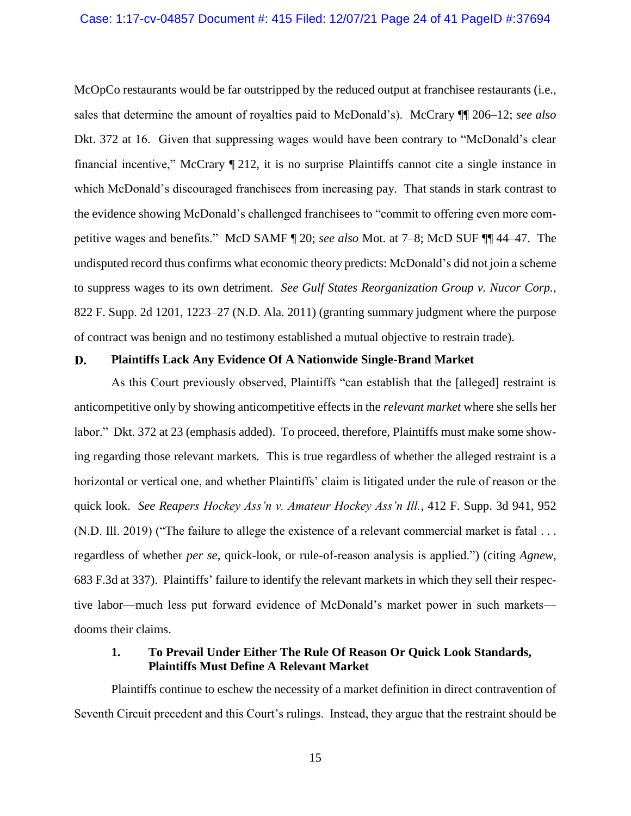McOpCo restaurants would be far outstripped by the reduced output at franchisee restaurants (i.e., sales that determine the amount of royalties paid to McDonald's). McCrary ¶¶ 206–12; *see also*  Dkt. 372 at 16. Given that suppressing wages would have been contrary to "McDonald's clear financial incentive," McCrary ¶ 212, it is no surprise Plaintiffs cannot cite a single instance in which McDonald's discouraged franchisees from increasing pay. That stands in stark contrast to the evidence showing McDonald's challenged franchisees to "commit to offering even more competitive wages and benefits." McD SAMF ¶ 20; *see also* Mot. at 7–8; McD SUF ¶¶ 44–47. The undisputed record thus confirms what economic theory predicts: McDonald's did not join a scheme to suppress wages to its own detriment. *See Gulf States Reorganization Group v. Nucor Corp.*, 822 F. Supp. 2d 1201, 1223–27 (N.D. Ala. 2011) (granting summary judgment where the purpose of contract was benign and no testimony established a mutual objective to restrain trade).

#### D. **Plaintiffs Lack Any Evidence Of A Nationwide Single-Brand Market**

As this Court previously observed, Plaintiffs "can establish that the [alleged] restraint is anticompetitive only by showing anticompetitive effects in the *relevant market* where she sells her labor." Dkt. 372 at 23 (emphasis added). To proceed, therefore, Plaintiffs must make some showing regarding those relevant markets. This is true regardless of whether the alleged restraint is a horizontal or vertical one, and whether Plaintiffs' claim is litigated under the rule of reason or the quick look. *See Reapers Hockey Ass'n v. Amateur Hockey Ass'n Ill.*, 412 F. Supp. 3d 941, 952 (N.D. Ill. 2019) ("The failure to allege the existence of a relevant commercial market is fatal . . . regardless of whether *per se*, quick-look, or rule-of-reason analysis is applied.") (citing *Agnew*, 683 F.3d at 337). Plaintiffs' failure to identify the relevant markets in which they sell their respective labor—much less put forward evidence of McDonald's market power in such markets dooms their claims.

## **1. To Prevail Under Either The Rule Of Reason Or Quick Look Standards, Plaintiffs Must Define A Relevant Market**

Plaintiffs continue to eschew the necessity of a market definition in direct contravention of Seventh Circuit precedent and this Court's rulings. Instead, they argue that the restraint should be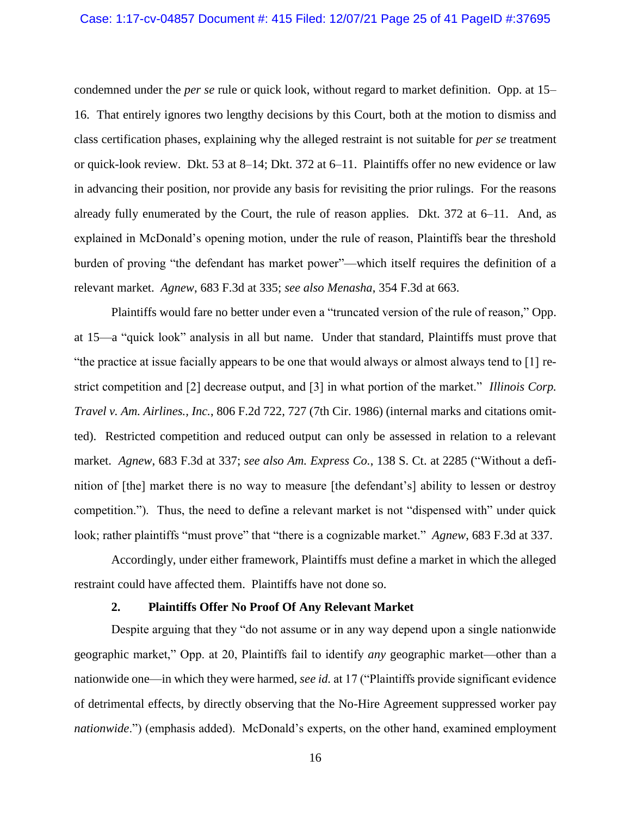#### Case: 1:17-cv-04857 Document #: 415 Filed: 12/07/21 Page 25 of 41 PageID #:37695

condemned under the *per se* rule or quick look, without regard to market definition. Opp. at 15– 16. That entirely ignores two lengthy decisions by this Court, both at the motion to dismiss and class certification phases, explaining why the alleged restraint is not suitable for *per se* treatment or quick-look review. Dkt. 53 at 8–14; Dkt. 372 at 6–11. Plaintiffs offer no new evidence or law in advancing their position, nor provide any basis for revisiting the prior rulings. For the reasons already fully enumerated by the Court, the rule of reason applies. Dkt. 372 at 6–11. And, as explained in McDonald's opening motion, under the rule of reason, Plaintiffs bear the threshold burden of proving "the defendant has market power"—which itself requires the definition of a relevant market. *Agnew*, 683 F.3d at 335; *see also Menasha*, 354 F.3d at 663.

Plaintiffs would fare no better under even a "truncated version of the rule of reason," Opp. at 15—a "quick look" analysis in all but name. Under that standard, Plaintiffs must prove that "the practice at issue facially appears to be one that would always or almost always tend to [1] restrict competition and [2] decrease output, and [3] in what portion of the market." *Illinois Corp. Travel v. Am. Airlines., Inc.*, 806 F.2d 722, 727 (7th Cir. 1986) (internal marks and citations omitted). Restricted competition and reduced output can only be assessed in relation to a relevant market. *Agnew*, 683 F.3d at 337; *see also Am. Express Co.*, 138 S. Ct. at 2285 ("Without a definition of [the] market there is no way to measure [the defendant's] ability to lessen or destroy competition."). Thus, the need to define a relevant market is not "dispensed with" under quick look; rather plaintiffs "must prove" that "there is a cognizable market." *Agnew*, 683 F.3d at 337.

Accordingly, under either framework, Plaintiffs must define a market in which the alleged restraint could have affected them. Plaintiffs have not done so.

#### **2. Plaintiffs Offer No Proof Of Any Relevant Market**

Despite arguing that they "do not assume or in any way depend upon a single nationwide geographic market," Opp. at 20, Plaintiffs fail to identify *any* geographic market—other than a nationwide one—in which they were harmed, *see id.* at 17 ("Plaintiffs provide significant evidence of detrimental effects, by directly observing that the No-Hire Agreement suppressed worker pay *nationwide*.") (emphasis added). McDonald's experts, on the other hand, examined employment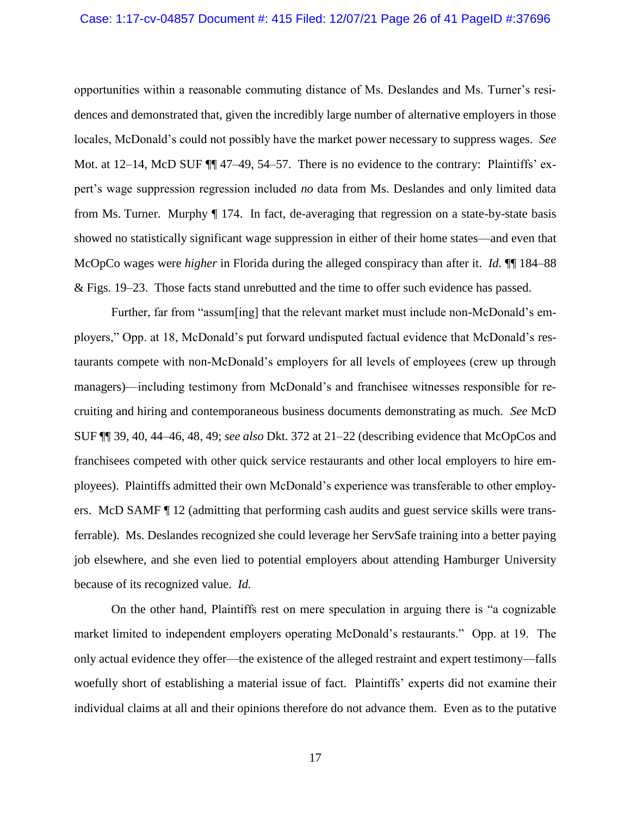#### Case: 1:17-cv-04857 Document #: 415 Filed: 12/07/21 Page 26 of 41 PageID #:37696

opportunities within a reasonable commuting distance of Ms. Deslandes and Ms. Turner's residences and demonstrated that, given the incredibly large number of alternative employers in those locales, McDonald's could not possibly have the market power necessary to suppress wages. *See*  Mot. at 12–14, McD SUF  $\P\P$  47–49, 54–57. There is no evidence to the contrary: Plaintiffs' expert's wage suppression regression included *no* data from Ms. Deslandes and only limited data from Ms. Turner. Murphy ¶ 174. In fact, de-averaging that regression on a state-by-state basis showed no statistically significant wage suppression in either of their home states—and even that McOpCo wages were *higher* in Florida during the alleged conspiracy than after it. *Id.*  $\P$  184–88 & Figs. 19–23. Those facts stand unrebutted and the time to offer such evidence has passed.

Further, far from "assum[ing] that the relevant market must include non-McDonald's employers," Opp. at 18, McDonald's put forward undisputed factual evidence that McDonald's restaurants compete with non-McDonald's employers for all levels of employees (crew up through managers)—including testimony from McDonald's and franchisee witnesses responsible for recruiting and hiring and contemporaneous business documents demonstrating as much. *See* McD SUF ¶¶ 39, 40, 44–46, 48, 49; *see also* Dkt. 372 at 21–22 (describing evidence that McOpCos and franchisees competed with other quick service restaurants and other local employers to hire employees). Plaintiffs admitted their own McDonald's experience was transferable to other employers. McD SAMF ¶ 12 (admitting that performing cash audits and guest service skills were transferrable). Ms. Deslandes recognized she could leverage her ServSafe training into a better paying job elsewhere, and she even lied to potential employers about attending Hamburger University because of its recognized value. *Id.*

On the other hand, Plaintiffs rest on mere speculation in arguing there is "a cognizable market limited to independent employers operating McDonald's restaurants." Opp. at 19. The only actual evidence they offer—the existence of the alleged restraint and expert testimony—falls woefully short of establishing a material issue of fact. Plaintiffs' experts did not examine their individual claims at all and their opinions therefore do not advance them. Even as to the putative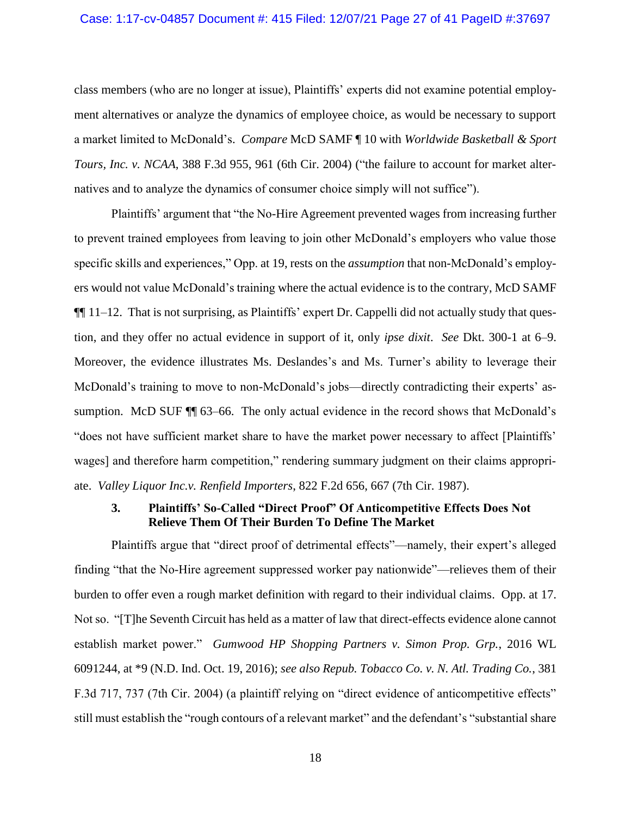### Case: 1:17-cv-04857 Document #: 415 Filed: 12/07/21 Page 27 of 41 PageID #:37697

class members (who are no longer at issue), Plaintiffs' experts did not examine potential employment alternatives or analyze the dynamics of employee choice, as would be necessary to support a market limited to McDonald's. *Compare* McD SAMF ¶ 10 with *Worldwide Basketball & Sport Tours, Inc. v. NCAA*, 388 F.3d 955, 961 (6th Cir. 2004) ("the failure to account for market alternatives and to analyze the dynamics of consumer choice simply will not suffice").

Plaintiffs' argument that "the No-Hire Agreement prevented wages from increasing further to prevent trained employees from leaving to join other McDonald's employers who value those specific skills and experiences," Opp. at 19, rests on the *assumption* that non-McDonald's employers would not value McDonald's training where the actual evidence is to the contrary, McD SAMF  $\P\P$  11–12. That is not surprising, as Plaintiffs' expert Dr. Cappelli did not actually study that question, and they offer no actual evidence in support of it, only *ipse dixit*. *See* Dkt. 300-1 at 6–9. Moreover, the evidence illustrates Ms. Deslandes's and Ms. Turner's ability to leverage their McDonald's training to move to non-McDonald's jobs—directly contradicting their experts' assumption. McD SUF  $\P$  63–66. The only actual evidence in the record shows that McDonald's "does not have sufficient market share to have the market power necessary to affect [Plaintiffs' wages] and therefore harm competition," rendering summary judgment on their claims appropriate. *Valley Liquor Inc.v. Renfield Importers*, 822 F.2d 656, 667 (7th Cir. 1987).

### **3. Plaintiffs' So-Called "Direct Proof" Of Anticompetitive Effects Does Not Relieve Them Of Their Burden To Define The Market**

Plaintiffs argue that "direct proof of detrimental effects"—namely, their expert's alleged finding "that the No-Hire agreement suppressed worker pay nationwide"—relieves them of their burden to offer even a rough market definition with regard to their individual claims. Opp. at 17. Not so. "[T]he Seventh Circuit has held as a matter of law that direct-effects evidence alone cannot establish market power." *Gumwood HP Shopping Partners v. Simon Prop. Grp.*, 2016 WL 6091244, at \*9 (N.D. Ind. Oct. 19, 2016); *see also Repub. Tobacco Co. v. N. Atl. Trading Co.*, 381 F.3d 717, 737 (7th Cir. 2004) (a plaintiff relying on "direct evidence of anticompetitive effects" still must establish the "rough contours of a relevant market" and the defendant's "substantial share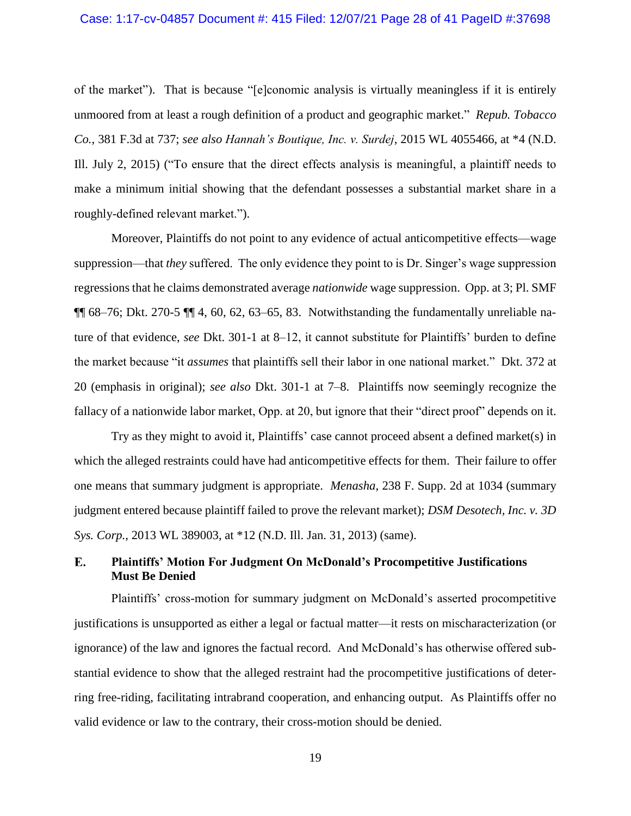#### Case: 1:17-cv-04857 Document #: 415 Filed: 12/07/21 Page 28 of 41 PageID #:37698

of the market"). That is because "[e]conomic analysis is virtually meaningless if it is entirely unmoored from at least a rough definition of a product and geographic market." *Repub. Tobacco Co.*, 381 F.3d at 737; *see also Hannah's Boutique, Inc. v. Surdej*, 2015 WL 4055466, at \*4 (N.D. Ill. July 2, 2015) ("To ensure that the direct effects analysis is meaningful, a plaintiff needs to make a minimum initial showing that the defendant possesses a substantial market share in a roughly-defined relevant market.").

Moreover, Plaintiffs do not point to any evidence of actual anticompetitive effects—wage suppression—that *they* suffered. The only evidence they point to is Dr. Singer's wage suppression regressions that he claims demonstrated average *nationwide* wage suppression. Opp. at 3; Pl. SMF  $\P\P$  68–76; Dkt. 270-5  $\P\P$  4, 60, 62, 63–65, 83. Notwithstanding the fundamentally unreliable nature of that evidence, *see* Dkt. 301-1 at 8–12, it cannot substitute for Plaintiffs' burden to define the market because "it *assumes* that plaintiffs sell their labor in one national market." Dkt. 372 at 20 (emphasis in original); *see also* Dkt. 301-1 at 7–8. Plaintiffs now seemingly recognize the fallacy of a nationwide labor market, Opp. at 20, but ignore that their "direct proof" depends on it.

Try as they might to avoid it, Plaintiffs' case cannot proceed absent a defined market(s) in which the alleged restraints could have had anticompetitive effects for them. Their failure to offer one means that summary judgment is appropriate. *Menasha*, 238 F. Supp. 2d at 1034 (summary judgment entered because plaintiff failed to prove the relevant market); *DSM Desotech, Inc. v. 3D Sys. Corp.*, 2013 WL 389003, at \*12 (N.D. Ill. Jan. 31, 2013) (same).

#### $E_{\bullet}$ **Plaintiffs' Motion For Judgment On McDonald's Procompetitive Justifications Must Be Denied**

Plaintiffs' cross-motion for summary judgment on McDonald's asserted procompetitive justifications is unsupported as either a legal or factual matter—it rests on mischaracterization (or ignorance) of the law and ignores the factual record. And McDonald's has otherwise offered substantial evidence to show that the alleged restraint had the procompetitive justifications of deterring free-riding, facilitating intrabrand cooperation, and enhancing output. As Plaintiffs offer no valid evidence or law to the contrary, their cross-motion should be denied.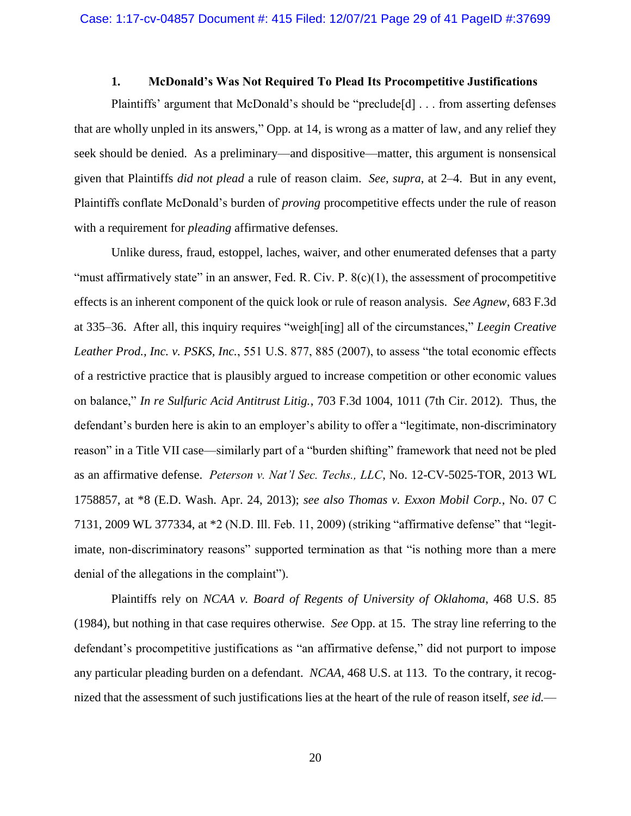#### **1. McDonald's Was Not Required To Plead Its Procompetitive Justifications**

Plaintiffs' argument that McDonald's should be "preclude[d] . . . from asserting defenses that are wholly unpled in its answers," Opp. at 14, is wrong as a matter of law, and any relief they seek should be denied. As a preliminary—and dispositive—matter, this argument is nonsensical given that Plaintiffs *did not plead* a rule of reason claim. *See*, *supra*, at 2–4. But in any event, Plaintiffs conflate McDonald's burden of *proving* procompetitive effects under the rule of reason with a requirement for *pleading* affirmative defenses.

Unlike duress, fraud, estoppel, laches, waiver, and other enumerated defenses that a party "must affirmatively state" in an answer, Fed. R. Civ. P. 8(c)(1), the assessment of procompetitive effects is an inherent component of the quick look or rule of reason analysis. *See Agnew*, 683 F.3d at 335–36. After all, this inquiry requires "weigh[ing] all of the circumstances," *Leegin Creative Leather Prod., Inc. v. PSKS, Inc.*, 551 U.S. 877, 885 (2007), to assess "the total economic effects of a restrictive practice that is plausibly argued to increase competition or other economic values on balance," *In re Sulfuric Acid Antitrust Litig.*, 703 F.3d 1004, 1011 (7th Cir. 2012). Thus, the defendant's burden here is akin to an employer's ability to offer a "legitimate, non-discriminatory reason" in a Title VII case—similarly part of a "burden shifting" framework that need not be pled as an affirmative defense. *Peterson v. Nat'l Sec. Techs., LLC*, No. 12-CV-5025-TOR, 2013 WL 1758857, at \*8 (E.D. Wash. Apr. 24, 2013); *see also Thomas v. Exxon Mobil Corp.*, No. 07 C 7131, 2009 WL 377334, at \*2 (N.D. Ill. Feb. 11, 2009) (striking "affirmative defense" that "legitimate, non-discriminatory reasons" supported termination as that "is nothing more than a mere denial of the allegations in the complaint").

Plaintiffs rely on *NCAA v. Board of Regents of University of Oklahoma*, 468 U.S. 85 (1984), but nothing in that case requires otherwise. *See* Opp. at 15. The stray line referring to the defendant's procompetitive justifications as "an affirmative defense," did not purport to impose any particular pleading burden on a defendant. *NCAA*, 468 U.S. at 113. To the contrary, it recognized that the assessment of such justifications lies at the heart of the rule of reason itself, *see id.*—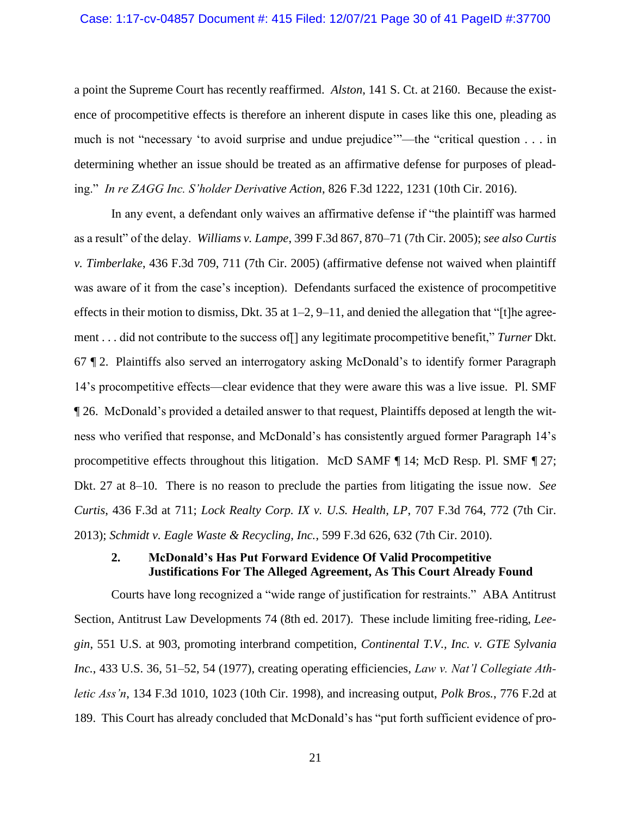#### Case: 1:17-cv-04857 Document #: 415 Filed: 12/07/21 Page 30 of 41 PageID #:37700

a point the Supreme Court has recently reaffirmed. *Alston*, 141 S. Ct. at 2160. Because the existence of procompetitive effects is therefore an inherent dispute in cases like this one, pleading as much is not "necessary 'to avoid surprise and undue prejudice'"—the "critical question . . . in determining whether an issue should be treated as an affirmative defense for purposes of pleading." *In re ZAGG Inc. S'holder Derivative Action*, 826 F.3d 1222, 1231 (10th Cir. 2016).

In any event, a defendant only waives an affirmative defense if "the plaintiff was harmed as a result" of the delay. *Williams v. Lampe*, 399 F.3d 867, 870–71 (7th Cir. 2005); *see also Curtis v. Timberlake*, 436 F.3d 709, 711 (7th Cir. 2005) (affirmative defense not waived when plaintiff was aware of it from the case's inception). Defendants surfaced the existence of procompetitive effects in their motion to dismiss, Dkt. 35 at  $1-2$ ,  $9-11$ , and denied the allegation that "[t]he agreement . . . did not contribute to the success of[] any legitimate procompetitive benefit," *Turner* Dkt. 67 ¶ 2. Plaintiffs also served an interrogatory asking McDonald's to identify former Paragraph 14's procompetitive effects—clear evidence that they were aware this was a live issue. Pl. SMF ¶ 26. McDonald's provided a detailed answer to that request, Plaintiffs deposed at length the witness who verified that response, and McDonald's has consistently argued former Paragraph 14's procompetitive effects throughout this litigation. McD SAMF ¶ 14; McD Resp. Pl. SMF ¶ 27; Dkt. 27 at 8–10. There is no reason to preclude the parties from litigating the issue now. *See Curtis*, 436 F.3d at 711; *Lock Realty Corp. IX v. U.S. Health, LP*, 707 F.3d 764, 772 (7th Cir. 2013); *Schmidt v. Eagle Waste & Recycling, Inc.*, 599 F.3d 626, 632 (7th Cir. 2010).

## **2. McDonald's Has Put Forward Evidence Of Valid Procompetitive Justifications For The Alleged Agreement, As This Court Already Found**

Courts have long recognized a "wide range of justification for restraints." ABA Antitrust Section, Antitrust Law Developments 74 (8th ed. 2017). These include limiting free-riding, *Leegin*, 551 U.S. at 903, promoting interbrand competition, *Continental T.V., Inc. v. GTE Sylvania Inc.*, 433 U.S. 36, 51–52, 54 (1977), creating operating efficiencies, *Law v. Nat'l Collegiate Athletic Ass'n*, 134 F.3d 1010, 1023 (10th Cir. 1998), and increasing output, *Polk Bros.*, 776 F.2d at 189. This Court has already concluded that McDonald's has "put forth sufficient evidence of pro-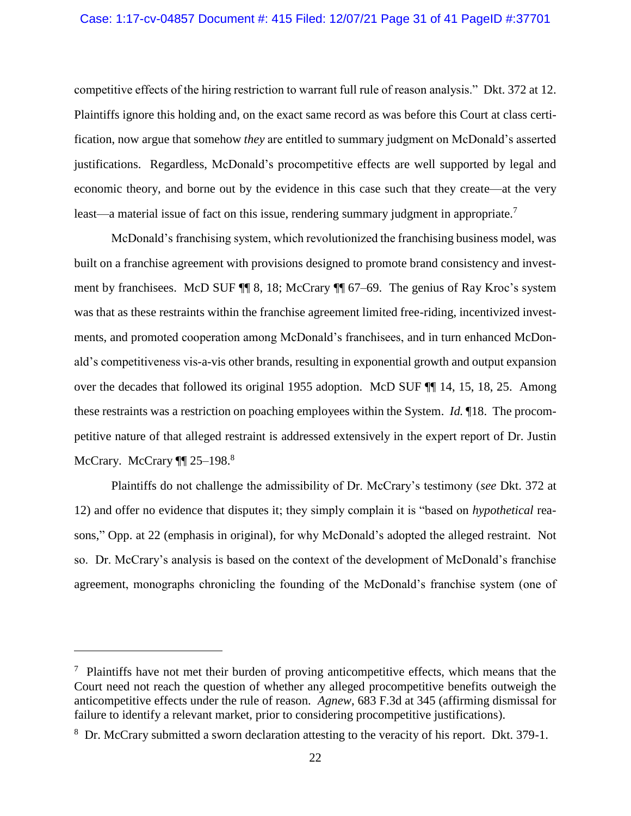### Case: 1:17-cv-04857 Document #: 415 Filed: 12/07/21 Page 31 of 41 PageID #:37701

competitive effects of the hiring restriction to warrant full rule of reason analysis." Dkt. 372 at 12. Plaintiffs ignore this holding and, on the exact same record as was before this Court at class certification, now argue that somehow *they* are entitled to summary judgment on McDonald's asserted justifications. Regardless, McDonald's procompetitive effects are well supported by legal and economic theory, and borne out by the evidence in this case such that they create—at the very least—a material issue of fact on this issue, rendering summary judgment in appropriate.<sup>7</sup>

McDonald's franchising system, which revolutionized the franchising business model, was built on a franchise agreement with provisions designed to promote brand consistency and investment by franchisees. McD SUF ¶¶ 8, 18; McCrary ¶¶ 67–69. The genius of Ray Kroc's system was that as these restraints within the franchise agreement limited free-riding, incentivized investments, and promoted cooperation among McDonald's franchisees, and in turn enhanced McDonald's competitiveness vis-a-vis other brands, resulting in exponential growth and output expansion over the decades that followed its original 1955 adoption. McD SUF ¶¶ 14, 15, 18, 25. Among these restraints was a restriction on poaching employees within the System. *Id.* ¶18. The procompetitive nature of that alleged restraint is addressed extensively in the expert report of Dr. Justin McCrary. McCrary ¶¶ 25-198.<sup>8</sup>

Plaintiffs do not challenge the admissibility of Dr. McCrary's testimony (*see* Dkt. 372 at 12) and offer no evidence that disputes it; they simply complain it is "based on *hypothetical* reasons," Opp. at 22 (emphasis in original), for why McDonald's adopted the alleged restraint. Not so. Dr. McCrary's analysis is based on the context of the development of McDonald's franchise agreement, monographs chronicling the founding of the McDonald's franchise system (one of

 $7$  Plaintiffs have not met their burden of proving anticompetitive effects, which means that the Court need not reach the question of whether any alleged procompetitive benefits outweigh the anticompetitive effects under the rule of reason. *Agnew*, 683 F.3d at 345 (affirming dismissal for failure to identify a relevant market, prior to considering procompetitive justifications).

<sup>&</sup>lt;sup>8</sup> Dr. McCrary submitted a sworn declaration attesting to the veracity of his report. Dkt. 379-1.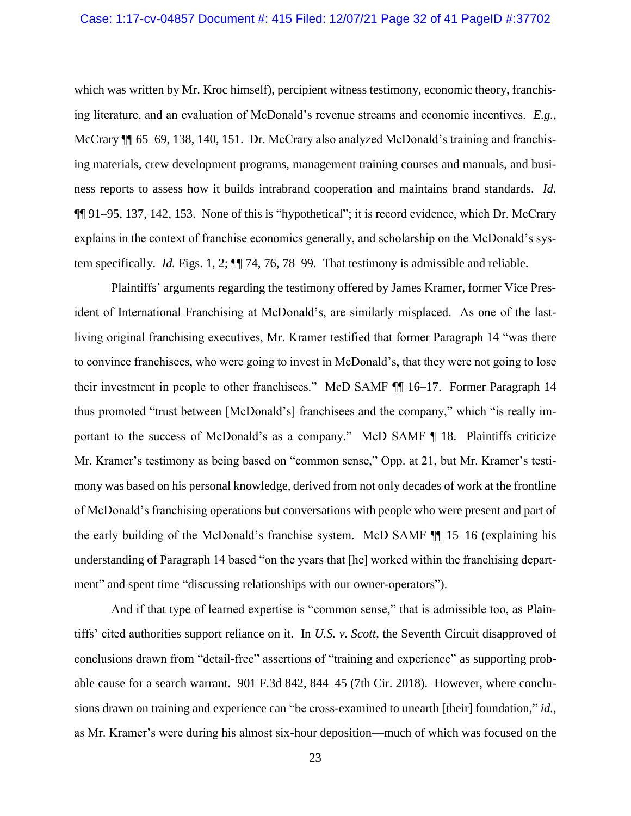which was written by Mr. Kroc himself), percipient witness testimony, economic theory, franchising literature, and an evaluation of McDonald's revenue streams and economic incentives. *E.g.*, McCrary  $\P$  65–69, 138, 140, 151. Dr. McCrary also analyzed McDonald's training and franchising materials, crew development programs, management training courses and manuals, and business reports to assess how it builds intrabrand cooperation and maintains brand standards. *Id.* ¶¶ 91–95, 137, 142, 153. None of this is "hypothetical"; it is record evidence, which Dr. McCrary explains in the context of franchise economics generally, and scholarship on the McDonald's system specifically. *Id.* Figs. 1, 2; ¶¶ 74, 76, 78–99. That testimony is admissible and reliable.

Plaintiffs' arguments regarding the testimony offered by James Kramer, former Vice President of International Franchising at McDonald's, are similarly misplaced. As one of the lastliving original franchising executives, Mr. Kramer testified that former Paragraph 14 "was there to convince franchisees, who were going to invest in McDonald's, that they were not going to lose their investment in people to other franchisees." McD SAMF ¶¶ 16–17. Former Paragraph 14 thus promoted "trust between [McDonald's] franchisees and the company," which "is really important to the success of McDonald's as a company." McD SAMF ¶ 18. Plaintiffs criticize Mr. Kramer's testimony as being based on "common sense," Opp. at 21, but Mr. Kramer's testimony was based on his personal knowledge, derived from not only decades of work at the frontline of McDonald's franchising operations but conversations with people who were present and part of the early building of the McDonald's franchise system. McD SAMF ¶¶ 15–16 (explaining his understanding of Paragraph 14 based "on the years that [he] worked within the franchising department" and spent time "discussing relationships with our owner-operators").

And if that type of learned expertise is "common sense," that is admissible too, as Plaintiffs' cited authorities support reliance on it. In *U.S. v. Scott*, the Seventh Circuit disapproved of conclusions drawn from "detail-free" assertions of "training and experience" as supporting probable cause for a search warrant. 901 F.3d 842, 844–45 (7th Cir. 2018). However, where conclusions drawn on training and experience can "be cross-examined to unearth [their] foundation," *id.*, as Mr. Kramer's were during his almost six-hour deposition—much of which was focused on the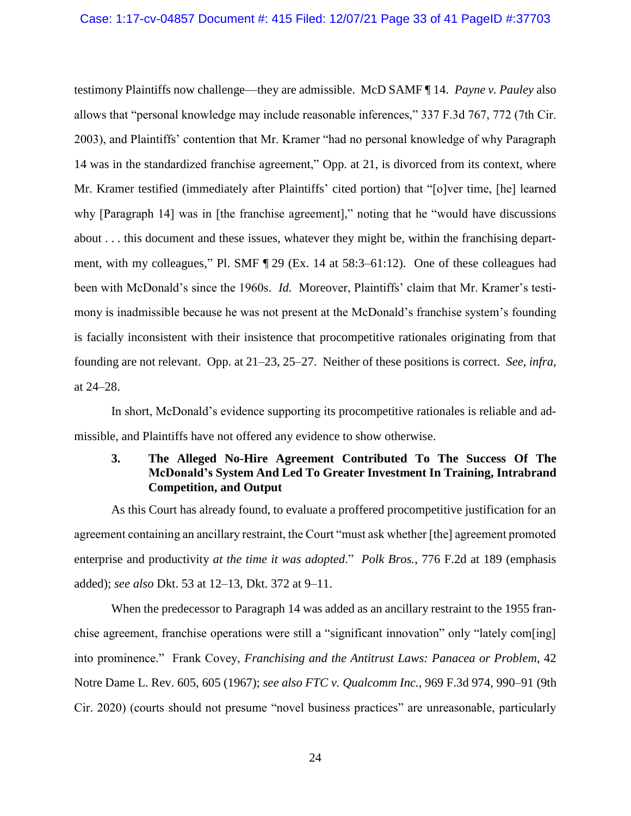testimony Plaintiffs now challenge—they are admissible. McD SAMF ¶ 14. *Payne v. Pauley* also allows that "personal knowledge may include reasonable inferences," 337 F.3d 767, 772 (7th Cir. 2003), and Plaintiffs' contention that Mr. Kramer "had no personal knowledge of why Paragraph 14 was in the standardized franchise agreement," Opp. at 21, is divorced from its context, where Mr. Kramer testified (immediately after Plaintiffs' cited portion) that "[o]ver time, [he] learned why [Paragraph 14] was in [the franchise agreement]," noting that he "would have discussions" about . . . this document and these issues, whatever they might be, within the franchising department, with my colleagues," Pl. SMF ¶ 29 (Ex. 14 at 58:3–61:12). One of these colleagues had been with McDonald's since the 1960s. *Id.* Moreover, Plaintiffs' claim that Mr. Kramer's testimony is inadmissible because he was not present at the McDonald's franchise system's founding is facially inconsistent with their insistence that procompetitive rationales originating from that founding are not relevant. Opp. at 21–23, 25–27. Neither of these positions is correct. *See*, *infra*, at 24–28.

In short, McDonald's evidence supporting its procompetitive rationales is reliable and admissible, and Plaintiffs have not offered any evidence to show otherwise.

## **3. The Alleged No-Hire Agreement Contributed To The Success Of The McDonald's System And Led To Greater Investment In Training, Intrabrand Competition, and Output**

As this Court has already found, to evaluate a proffered procompetitive justification for an agreement containing an ancillary restraint, the Court "must ask whether [the] agreement promoted enterprise and productivity *at the time it was adopted*." *Polk Bros.*, 776 F.2d at 189 (emphasis added); *see also* Dkt. 53 at 12–13, Dkt. 372 at 9–11.

When the predecessor to Paragraph 14 was added as an ancillary restraint to the 1955 franchise agreement, franchise operations were still a "significant innovation" only "lately com[ing] into prominence." Frank Covey, *Franchising and the Antitrust Laws: Panacea or Problem*, 42 Notre Dame L. Rev. 605, 605 (1967); *see also FTC v. Qualcomm Inc.*, 969 F.3d 974, 990–91 (9th Cir. 2020) (courts should not presume "novel business practices" are unreasonable, particularly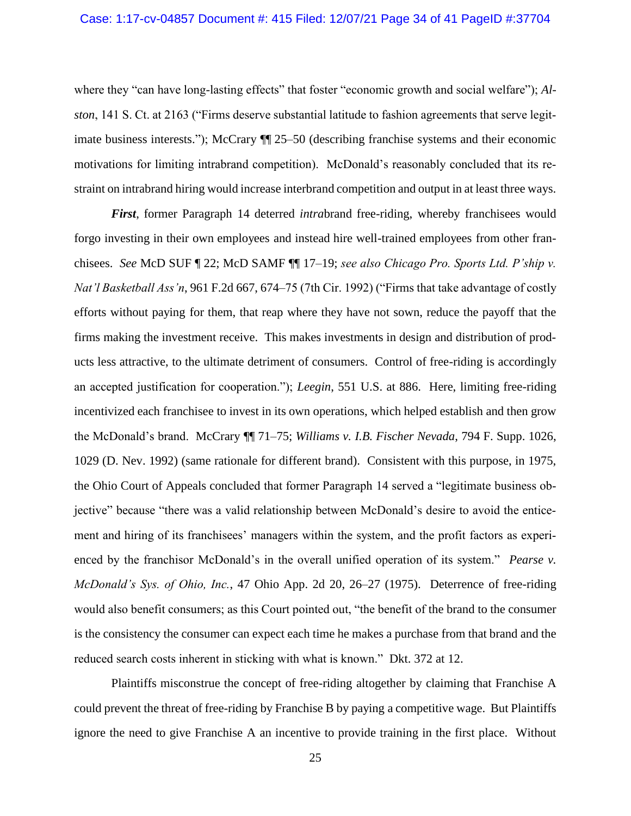where they "can have long-lasting effects" that foster "economic growth and social welfare"); *Alston*, 141 S. Ct. at 2163 ("Firms deserve substantial latitude to fashion agreements that serve legitimate business interests."); McCrary ¶¶ 25–50 (describing franchise systems and their economic motivations for limiting intrabrand competition). McDonald's reasonably concluded that its restraint on intrabrand hiring would increase interbrand competition and output in at least three ways.

*First*, former Paragraph 14 deterred *intra*brand free-riding, whereby franchisees would forgo investing in their own employees and instead hire well-trained employees from other franchisees. *See* McD SUF ¶ 22; McD SAMF ¶¶ 17–19; *see also Chicago Pro. Sports Ltd. P'ship v. Nat'l Basketball Ass'n*, 961 F.2d 667, 674–75 (7th Cir. 1992) ("Firms that take advantage of costly efforts without paying for them, that reap where they have not sown, reduce the payoff that the firms making the investment receive. This makes investments in design and distribution of products less attractive, to the ultimate detriment of consumers. Control of free-riding is accordingly an accepted justification for cooperation."); *Leegin*, 551 U.S. at 886. Here, limiting free-riding incentivized each franchisee to invest in its own operations, which helped establish and then grow the McDonald's brand. McCrary ¶¶ 71–75; *Williams v. I.B. Fischer Nevada*, 794 F. Supp. 1026, 1029 (D. Nev. 1992) (same rationale for different brand). Consistent with this purpose, in 1975, the Ohio Court of Appeals concluded that former Paragraph 14 served a "legitimate business objective" because "there was a valid relationship between McDonald's desire to avoid the enticement and hiring of its franchisees' managers within the system, and the profit factors as experienced by the franchisor McDonald's in the overall unified operation of its system." *Pearse v. McDonald's Sys. of Ohio, Inc.*, 47 Ohio App. 2d 20, 26–27 (1975). Deterrence of free-riding would also benefit consumers; as this Court pointed out, "the benefit of the brand to the consumer is the consistency the consumer can expect each time he makes a purchase from that brand and the reduced search costs inherent in sticking with what is known." Dkt. 372 at 12.

Plaintiffs misconstrue the concept of free-riding altogether by claiming that Franchise A could prevent the threat of free-riding by Franchise B by paying a competitive wage. But Plaintiffs ignore the need to give Franchise A an incentive to provide training in the first place. Without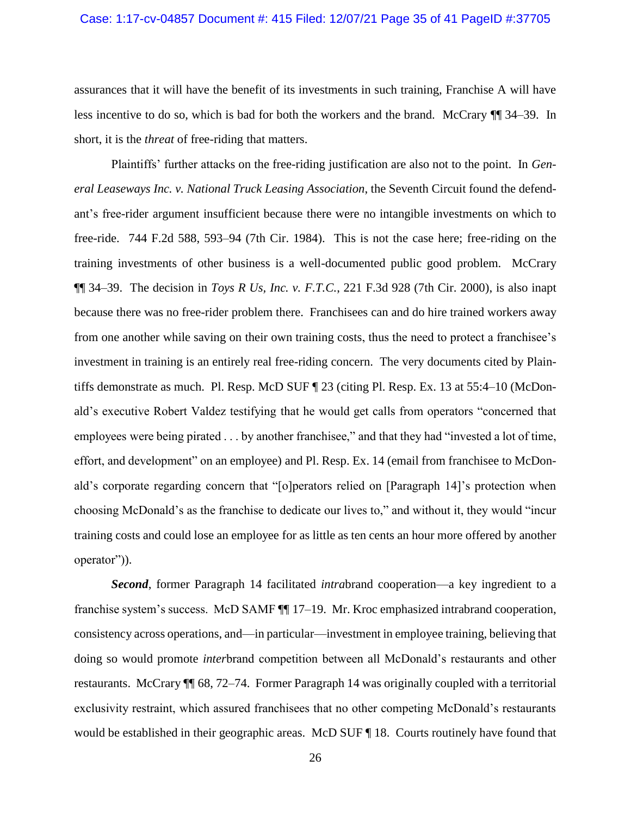assurances that it will have the benefit of its investments in such training, Franchise A will have less incentive to do so, which is bad for both the workers and the brand. McCrary ¶¶ 34–39. In short, it is the *threat* of free-riding that matters.

Plaintiffs' further attacks on the free-riding justification are also not to the point. In *General Leaseways Inc. v. National Truck Leasing Association*, the Seventh Circuit found the defendant's free-rider argument insufficient because there were no intangible investments on which to free-ride. 744 F.2d 588, 593–94 (7th Cir. 1984). This is not the case here; free-riding on the training investments of other business is a well-documented public good problem. McCrary ¶¶ 34–39. The decision in *Toys R Us, Inc. v. F.T.C.*, 221 F.3d 928 (7th Cir. 2000), is also inapt because there was no free-rider problem there. Franchisees can and do hire trained workers away from one another while saving on their own training costs, thus the need to protect a franchisee's investment in training is an entirely real free-riding concern. The very documents cited by Plaintiffs demonstrate as much. Pl. Resp. McD SUF ¶ 23 (citing Pl. Resp. Ex. 13 at 55:4–10 (McDonald's executive Robert Valdez testifying that he would get calls from operators "concerned that employees were being pirated . . . by another franchisee," and that they had "invested a lot of time, effort, and development" on an employee) and Pl. Resp. Ex. 14 (email from franchisee to McDonald's corporate regarding concern that "[o]perators relied on [Paragraph 14]'s protection when choosing McDonald's as the franchise to dedicate our lives to," and without it, they would "incur training costs and could lose an employee for as little as ten cents an hour more offered by another operator")).

*Second*, former Paragraph 14 facilitated *intra*brand cooperation—a key ingredient to a franchise system's success. McD SAMF  $\P$  17–19. Mr. Kroc emphasized intrabrand cooperation, consistency across operations, and—in particular—investment in employee training, believing that doing so would promote *inter*brand competition between all McDonald's restaurants and other restaurants. McCrary ¶¶ 68, 72–74. Former Paragraph 14 was originally coupled with a territorial exclusivity restraint, which assured franchisees that no other competing McDonald's restaurants would be established in their geographic areas. McD SUF ¶ 18. Courts routinely have found that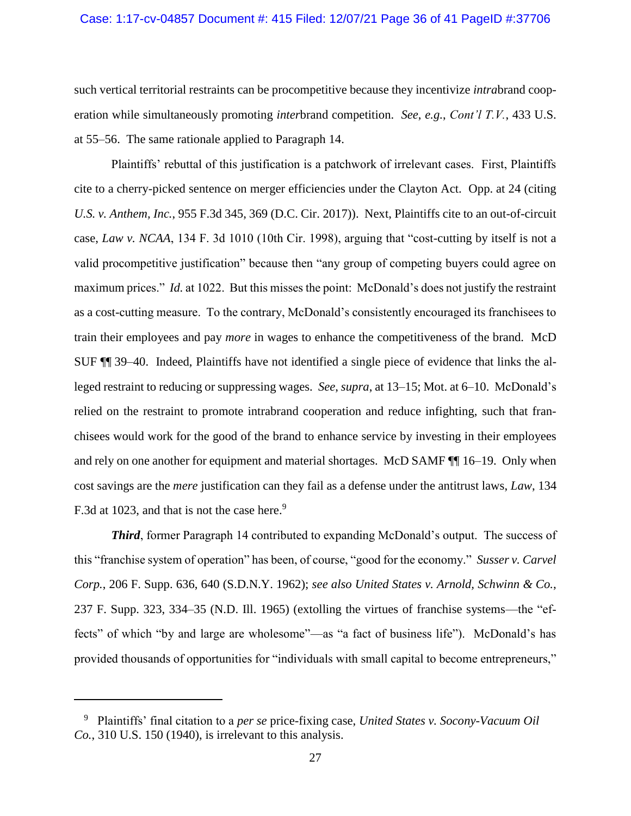### Case: 1:17-cv-04857 Document #: 415 Filed: 12/07/21 Page 36 of 41 PageID #:37706

such vertical territorial restraints can be procompetitive because they incentivize *intra*brand cooperation while simultaneously promoting *inter*brand competition. *See*, *e.g.*, *Cont'l T.V.*, 433 U.S. at 55–56. The same rationale applied to Paragraph 14.

Plaintiffs' rebuttal of this justification is a patchwork of irrelevant cases. First, Plaintiffs cite to a cherry-picked sentence on merger efficiencies under the Clayton Act. Opp. at 24 (citing *U.S. v. Anthem, Inc.*, 955 F.3d 345, 369 (D.C. Cir. 2017)). Next, Plaintiffs cite to an out-of-circuit case, *Law v. NCAA*, 134 F. 3d 1010 (10th Cir. 1998), arguing that "cost-cutting by itself is not a valid procompetitive justification" because then "any group of competing buyers could agree on maximum prices." *Id.* at 1022. But this misses the point: McDonald's does not justify the restraint as a cost-cutting measure. To the contrary, McDonald's consistently encouraged its franchisees to train their employees and pay *more* in wages to enhance the competitiveness of the brand. McD SUF ¶¶ 39–40. Indeed, Plaintiffs have not identified a single piece of evidence that links the alleged restraint to reducing or suppressing wages. *See*, *supra*, at 13–15; Mot. at 6–10. McDonald's relied on the restraint to promote intrabrand cooperation and reduce infighting, such that franchisees would work for the good of the brand to enhance service by investing in their employees and rely on one another for equipment and material shortages. McD SAMF ¶¶ 16–19. Only when cost savings are the *mere* justification can they fail as a defense under the antitrust laws, *Law*, 134 F.3d at 1023, and that is not the case here.<sup>9</sup>

*Third*, former Paragraph 14 contributed to expanding McDonald's output. The success of this "franchise system of operation" has been, of course, "good for the economy." *Susser v. Carvel Corp.*, 206 F. Supp. 636, 640 (S.D.N.Y. 1962); *see also United States v. Arnold, Schwinn & Co.*, 237 F. Supp. 323, 334–35 (N.D. Ill. 1965) (extolling the virtues of franchise systems—the "effects" of which "by and large are wholesome"—as "a fact of business life"). McDonald's has provided thousands of opportunities for "individuals with small capital to become entrepreneurs,"

<sup>9</sup> Plaintiffs' final citation to a *per se* price-fixing case, *United States v. Socony-Vacuum Oil Co.*, 310 U.S. 150 (1940), is irrelevant to this analysis.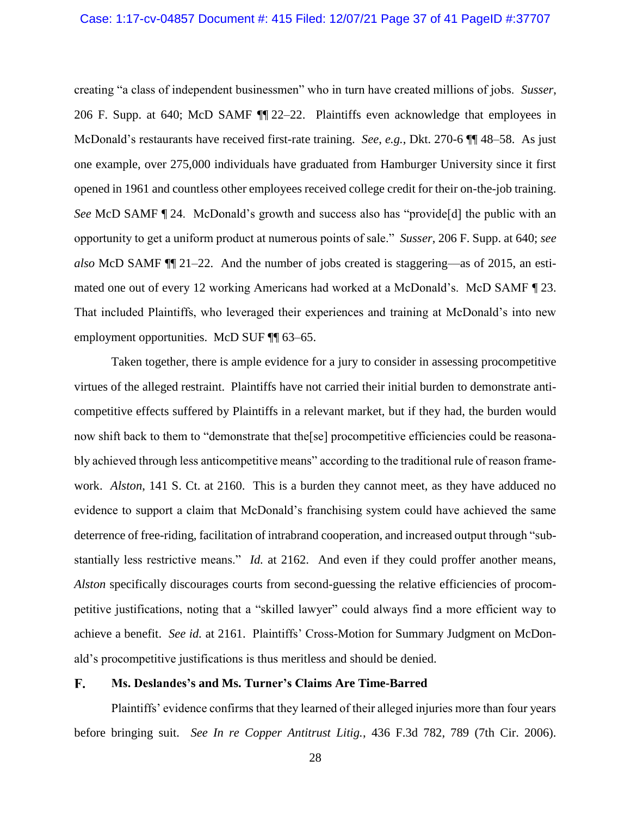creating "a class of independent businessmen" who in turn have created millions of jobs. *Susser*, 206 F. Supp. at 640; McD SAMF ¶¶ 22–22. Plaintiffs even acknowledge that employees in McDonald's restaurants have received first-rate training. *See*, *e.g.*, Dkt. 270-6 ¶¶ 48–58. As just one example, over 275,000 individuals have graduated from Hamburger University since it first opened in 1961 and countless other employees received college credit for their on-the-job training. *See* McD SAMF  $\P$  24. McDonald's growth and success also has "provide [d] the public with an opportunity to get a uniform product at numerous points of sale." *Susser*, 206 F. Supp. at 640; *see also* McD SAMF ¶¶ 21–22. And the number of jobs created is staggering—as of 2015, an estimated one out of every 12 working Americans had worked at a McDonald's. McD SAMF ¶ 23. That included Plaintiffs, who leveraged their experiences and training at McDonald's into new employment opportunities. McD SUF ¶ 63–65.

Taken together, there is ample evidence for a jury to consider in assessing procompetitive virtues of the alleged restraint. Plaintiffs have not carried their initial burden to demonstrate anticompetitive effects suffered by Plaintiffs in a relevant market, but if they had, the burden would now shift back to them to "demonstrate that the[se] procompetitive efficiencies could be reasonably achieved through less anticompetitive means" according to the traditional rule of reason framework. *Alston*, 141 S. Ct. at 2160. This is a burden they cannot meet, as they have adduced no evidence to support a claim that McDonald's franchising system could have achieved the same deterrence of free-riding, facilitation of intrabrand cooperation, and increased output through "substantially less restrictive means." *Id.* at 2162. And even if they could proffer another means, *Alston* specifically discourages courts from second-guessing the relative efficiencies of procompetitive justifications, noting that a "skilled lawyer" could always find a more efficient way to achieve a benefit. *See id.* at 2161. Plaintiffs' Cross-Motion for Summary Judgment on McDonald's procompetitive justifications is thus meritless and should be denied.

#### $\mathbf{F}_{\bullet}$ **Ms. Deslandes's and Ms. Turner's Claims Are Time-Barred**

Plaintiffs' evidence confirms that they learned of their alleged injuries more than four years before bringing suit. *See In re Copper Antitrust Litig.*, 436 F.3d 782, 789 (7th Cir. 2006).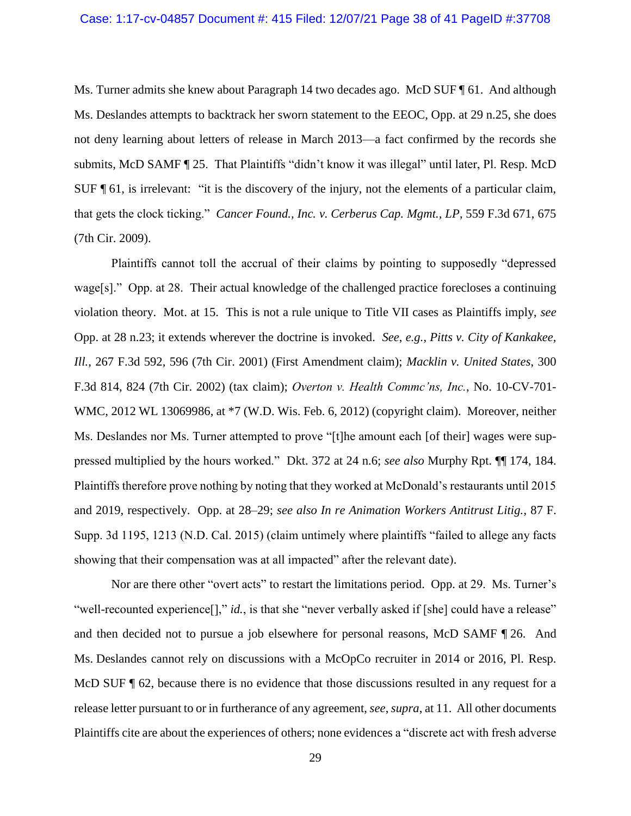Ms. Turner admits she knew about Paragraph 14 two decades ago. McD SUF ¶ 61. And although Ms. Deslandes attempts to backtrack her sworn statement to the EEOC, Opp. at 29 n.25, she does not deny learning about letters of release in March 2013—a fact confirmed by the records she submits, McD SAMF ¶ 25. That Plaintiffs "didn't know it was illegal" until later, Pl. Resp. McD SUF ¶ 61, is irrelevant: "it is the discovery of the injury, not the elements of a particular claim, that gets the clock ticking." *Cancer Found., Inc. v. Cerberus Cap. Mgmt., LP*, 559 F.3d 671, 675 (7th Cir. 2009).

Plaintiffs cannot toll the accrual of their claims by pointing to supposedly "depressed wage[s]." Opp. at 28. Their actual knowledge of the challenged practice forecloses a continuing violation theory. Mot. at 15. This is not a rule unique to Title VII cases as Plaintiffs imply, *see* Opp. at 28 n.23; it extends wherever the doctrine is invoked. *See*, *e.g.*, *Pitts v. City of Kankakee, Ill.*, 267 F.3d 592, 596 (7th Cir. 2001) (First Amendment claim); *Macklin v. United States*, 300 F.3d 814, 824 (7th Cir. 2002) (tax claim); *Overton v. Health Commc'ns, Inc.*, No. 10-CV-701- WMC, 2012 WL 13069986, at \*7 (W.D. Wis. Feb. 6, 2012) (copyright claim). Moreover, neither Ms. Deslandes nor Ms. Turner attempted to prove "[t]he amount each [of their] wages were suppressed multiplied by the hours worked." Dkt. 372 at 24 n.6; *see also* Murphy Rpt. ¶¶ 174, 184. Plaintiffs therefore prove nothing by noting that they worked at McDonald's restaurants until 2015 and 2019, respectively. Opp. at 28–29; *see also In re Animation Workers Antitrust Litig.*, 87 F. Supp. 3d 1195, 1213 (N.D. Cal. 2015) (claim untimely where plaintiffs "failed to allege any facts showing that their compensation was at all impacted" after the relevant date).

Nor are there other "overt acts" to restart the limitations period. Opp. at 29. Ms. Turner's "well-recounted experience<sup>[]</sup>," *id.*, is that she "never verbally asked if [she] could have a release" and then decided not to pursue a job elsewhere for personal reasons, McD SAMF ¶ 26. And Ms. Deslandes cannot rely on discussions with a McOpCo recruiter in 2014 or 2016, Pl. Resp. McD SUF  $\parallel$  62, because there is no evidence that those discussions resulted in any request for a release letter pursuant to or in furtherance of any agreement, *see*, *supra*, at 11. All other documents Plaintiffs cite are about the experiences of others; none evidences a "discrete act with fresh adverse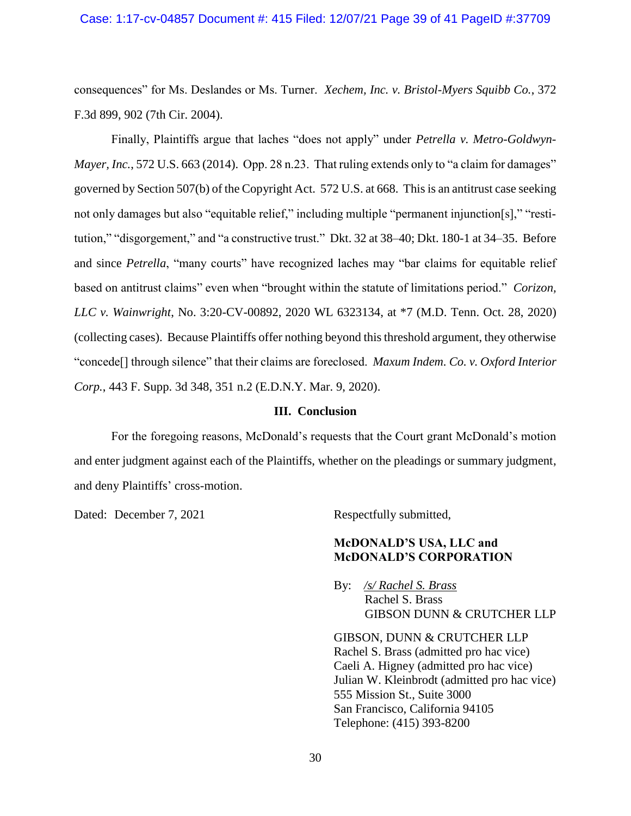### Case: 1:17-cv-04857 Document #: 415 Filed: 12/07/21 Page 39 of 41 PageID #:37709

consequences" for Ms. Deslandes or Ms. Turner. *Xechem, Inc. v. Bristol-Myers Squibb Co.*, 372 F.3d 899, 902 (7th Cir. 2004).

Finally, Plaintiffs argue that laches "does not apply" under *Petrella v. Metro-Goldwyn-Mayer, Inc.*, 572 U.S. 663 (2014). Opp. 28 n.23. That ruling extends only to "a claim for damages" governed by Section 507(b) of the Copyright Act. 572 U.S. at 668. This is an antitrust case seeking not only damages but also "equitable relief," including multiple "permanent injunction[s]," "restitution," "disgorgement," and "a constructive trust." Dkt. 32 at 38–40; Dkt. 180-1 at 34–35. Before and since *Petrella*, "many courts" have recognized laches may "bar claims for equitable relief based on antitrust claims" even when "brought within the statute of limitations period." *Corizon, LLC v. Wainwright*, No. 3:20-CV-00892, 2020 WL 6323134, at \*7 (M.D. Tenn. Oct. 28, 2020) (collecting cases). Because Plaintiffs offer nothing beyond this threshold argument, they otherwise "concede[] through silence" that their claims are foreclosed. *Maxum Indem. Co. v. Oxford Interior Corp.*, 443 F. Supp. 3d 348, 351 n.2 (E.D.N.Y. Mar. 9, 2020).

#### **III. Conclusion**

For the foregoing reasons, McDonald's requests that the Court grant McDonald's motion and enter judgment against each of the Plaintiffs, whether on the pleadings or summary judgment, and deny Plaintiffs' cross-motion.

Dated: December 7, 2021 Respectfully submitted,

## **McDONALD'S USA, LLC and McDONALD'S CORPORATION**

By: */s/ Rachel S. Brass* Rachel S. Brass GIBSON DUNN & CRUTCHER LLP

GIBSON, DUNN & CRUTCHER LLP Rachel S. Brass (admitted pro hac vice) Caeli A. Higney (admitted pro hac vice) Julian W. Kleinbrodt (admitted pro hac vice) 555 Mission St., Suite 3000 San Francisco, California 94105 Telephone: (415) 393-8200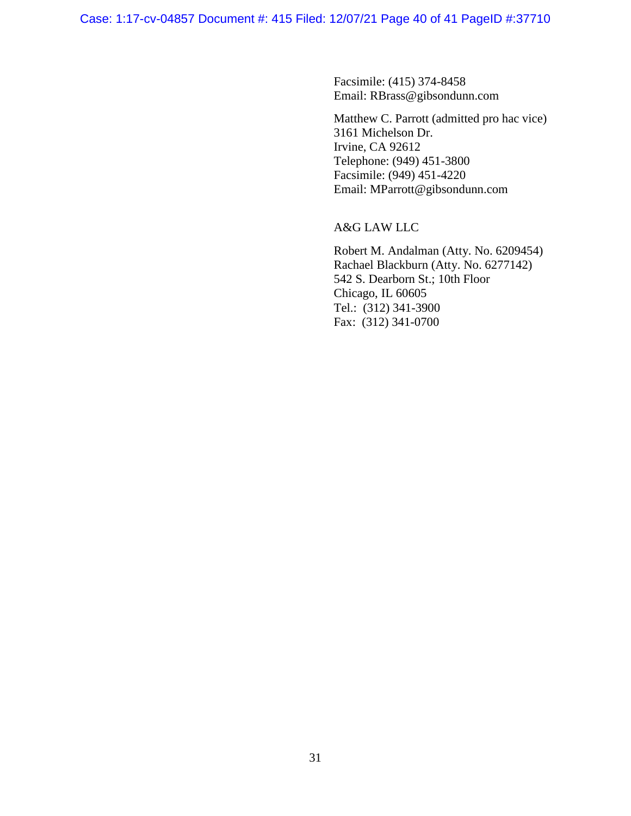Facsimile: (415) 374-8458 Email: RBrass@gibsondunn.com

Matthew C. Parrott (admitted pro hac vice) 3161 Michelson Dr. Irvine, CA 92612 Telephone: (949) 451-3800 Facsimile: (949) 451-4220 Email: MParrott@gibsondunn.com

A&G LAW LLC

Robert M. Andalman (Atty. No. 6209454) Rachael Blackburn (Atty. No. 6277142) 542 S. Dearborn St.; 10th Floor Chicago, IL 60605 Tel.: (312) 341-3900 Fax: (312) 341-0700